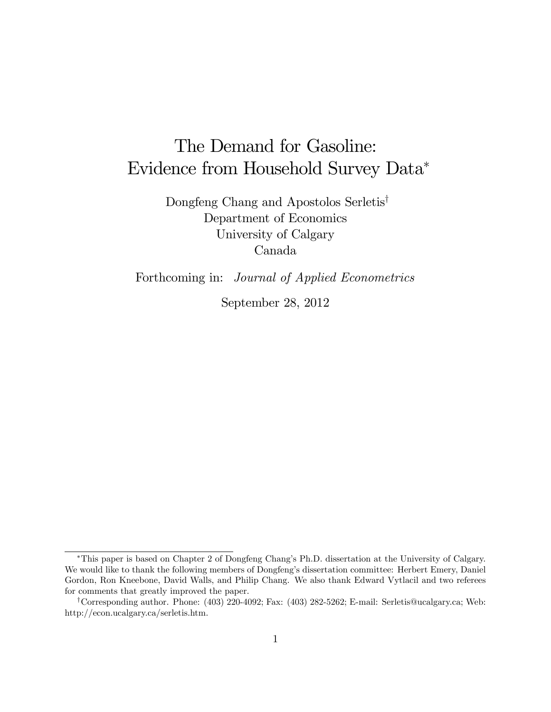# The Demand for Gasoline: Evidence from Household Survey Data

Dongfeng Chang and Apostolos Serletis<sup>†</sup> Department of Economics University of Calgary Canada

Forthcoming in: Journal of Applied Econometrics

September 28, 2012

<sup>\*</sup>This paper is based on Chapter 2 of Dongfeng Chang's Ph.D. dissertation at the University of Calgary. We would like to thank the following members of Dongfeng's dissertation committee: Herbert Emery, Daniel Gordon, Ron Kneebone, David Walls, and Philip Chang. We also thank Edward Vytlacil and two referees for comments that greatly improved the paper.

<sup>y</sup>Corresponding author. Phone: (403) 220-4092; Fax: (403) 282-5262; E-mail: Serletis@ucalgary.ca; Web: http://econ.ucalgary.ca/serletis.htm.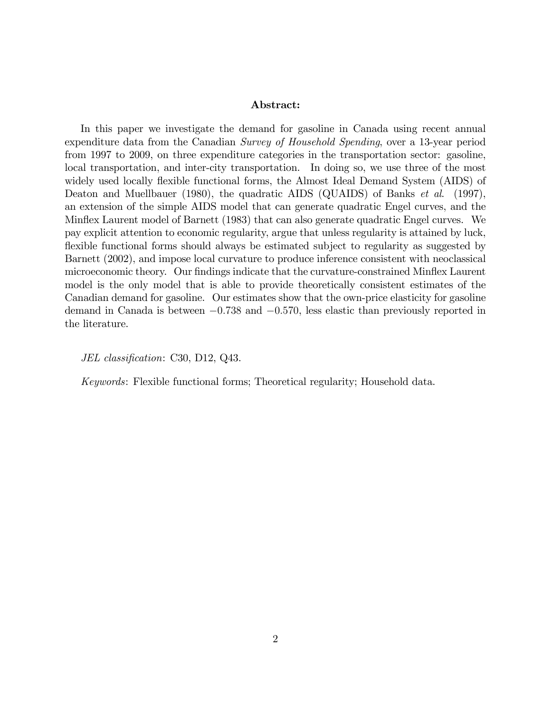#### Abstract:

In this paper we investigate the demand for gasoline in Canada using recent annual expenditure data from the Canadian Survey of Household Spending, over a 13-year period from 1997 to 2009, on three expenditure categories in the transportation sector: gasoline, local transportation, and inter-city transportation. In doing so, we use three of the most widely used locally flexible functional forms, the Almost Ideal Demand System (AIDS) of Deaton and Muellbauer (1980), the quadratic AIDS (QUAIDS) of Banks *et al.* (1997), an extension of the simple AIDS model that can generate quadratic Engel curves, and the Mináex Laurent model of Barnett (1983) that can also generate quadratic Engel curves. We pay explicit attention to economic regularity, argue that unless regularity is attained by luck, flexible functional forms should always be estimated subject to regularity as suggested by Barnett (2002), and impose local curvature to produce inference consistent with neoclassical microeconomic theory. Our findings indicate that the curvature-constrained Minflex Laurent model is the only model that is able to provide theoretically consistent estimates of the Canadian demand for gasoline. Our estimates show that the own-price elasticity for gasoline demand in Canada is between  $-0.738$  and  $-0.570$ , less elastic than previously reported in the literature.

JEL classification: C30, D12, Q43.

Keywords: Flexible functional forms; Theoretical regularity; Household data.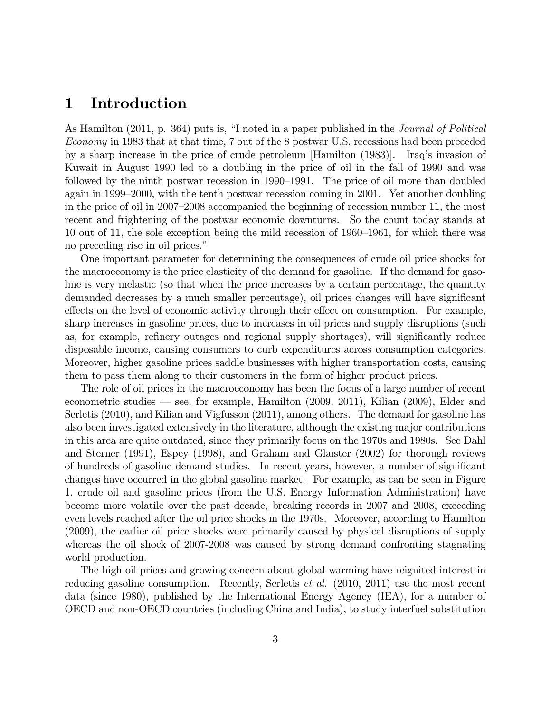# 1 Introduction

As Hamilton (2011, p. 364) puts is, "I noted in a paper published in the *Journal of Political* Economy in 1983 that at that time, 7 out of the 8 postwar U.S. recessions had been preceded by a sharp increase in the price of crude petroleum [Hamilton (1983)]. Iraqís invasion of Kuwait in August 1990 led to a doubling in the price of oil in the fall of 1990 and was followed by the ninth postwar recession in 1990–1991. The price of oil more than doubled again in 1999–2000, with the tenth postwar recession coming in 2001. Yet another doubling in the price of oil in  $2007-2008$  accompanied the beginning of recession number 11, the most recent and frightening of the postwar economic downturns. So the count today stands at 10 out of 11, the sole exception being the mild recession of  $1960-1961$ , for which there was no preceding rise in oil prices."

One important parameter for determining the consequences of crude oil price shocks for the macroeconomy is the price elasticity of the demand for gasoline. If the demand for gasoline is very inelastic (so that when the price increases by a certain percentage, the quantity demanded decreases by a much smaller percentage), oil prices changes will have significant effects on the level of economic activity through their effect on consumption. For example, sharp increases in gasoline prices, due to increases in oil prices and supply disruptions (such as, for example, refinery outages and regional supply shortages), will significantly reduce disposable income, causing consumers to curb expenditures across consumption categories. Moreover, higher gasoline prices saddle businesses with higher transportation costs, causing them to pass them along to their customers in the form of higher product prices.

The role of oil prices in the macroeconomy has been the focus of a large number of recent econometric studies  $\sim$  see, for example, Hamilton (2009, 2011), Kilian (2009), Elder and Serletis (2010), and Kilian and Vigfusson (2011), among others. The demand for gasoline has also been investigated extensively in the literature, although the existing major contributions in this area are quite outdated, since they primarily focus on the 1970s and 1980s. See Dahl and Sterner (1991), Espey (1998), and Graham and Glaister (2002) for thorough reviews of hundreds of gasoline demand studies. In recent years, however, a number of significant changes have occurred in the global gasoline market. For example, as can be seen in Figure 1, crude oil and gasoline prices (from the U.S. Energy Information Administration) have become more volatile over the past decade, breaking records in 2007 and 2008, exceeding even levels reached after the oil price shocks in the 1970s. Moreover, according to Hamilton (2009), the earlier oil price shocks were primarily caused by physical disruptions of supply whereas the oil shock of 2007-2008 was caused by strong demand confronting stagnating world production.

The high oil prices and growing concern about global warming have reignited interest in reducing gasoline consumption. Recently, Serletis et al. (2010, 2011) use the most recent data (since 1980), published by the International Energy Agency (IEA), for a number of OECD and non-OECD countries (including China and India), to study interfuel substitution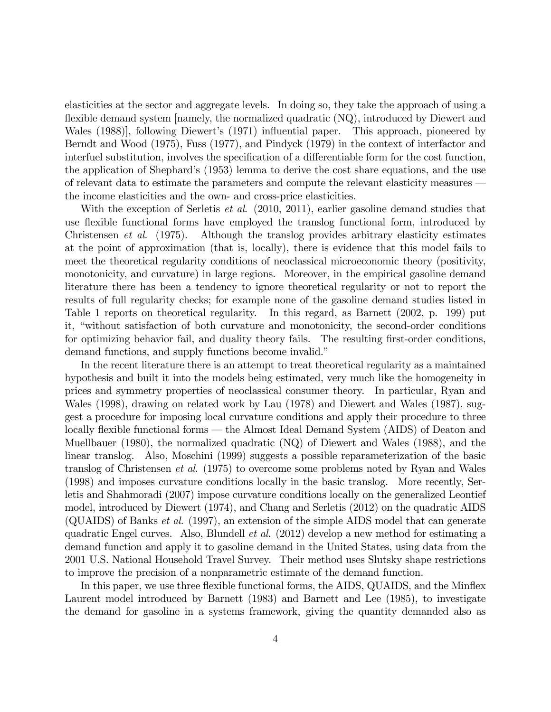elasticities at the sector and aggregate levels. In doing so, they take the approach of using a flexible demand system [namely, the normalized quadratic  $(NQ)$ , introduced by Diewert and Wales (1988), following Diewert's (1971) influential paper. This approach, pioneered by Berndt and Wood (1975), Fuss (1977), and Pindyck (1979) in the context of interfactor and interfuel substitution, involves the specification of a differentiable form for the cost function, the application of Shephard's (1953) lemma to derive the cost share equations, and the use of relevant data to estimate the parameters and compute the relevant elasticity measures – the income elasticities and the own- and cross-price elasticities.

With the exception of Serletis *et al.*  $(2010, 2011)$ , earlier gasoline demand studies that use flexible functional forms have employed the translog functional form, introduced by Christensen et al. (1975). Although the translog provides arbitrary elasticity estimates at the point of approximation (that is, locally), there is evidence that this model fails to meet the theoretical regularity conditions of neoclassical microeconomic theory (positivity, monotonicity, and curvature) in large regions. Moreover, in the empirical gasoline demand literature there has been a tendency to ignore theoretical regularity or not to report the results of full regularity checks; for example none of the gasoline demand studies listed in Table 1 reports on theoretical regularity. In this regard, as Barnett (2002, p. 199) put it, "without satisfaction of both curvature and monotonicity, the second-order conditions for optimizing behavior fail, and duality theory fails. The resulting first-order conditions, demand functions, and supply functions become invalid."

In the recent literature there is an attempt to treat theoretical regularity as a maintained hypothesis and built it into the models being estimated, very much like the homogeneity in prices and symmetry properties of neoclassical consumer theory. In particular, Ryan and Wales (1998), drawing on related work by Lau (1978) and Diewert and Wales (1987), suggest a procedure for imposing local curvature conditions and apply their procedure to three locally flexible functional forms — the Almost Ideal Demand System (AIDS) of Deaton and Muellbauer (1980), the normalized quadratic (NQ) of Diewert and Wales (1988), and the linear translog. Also, Moschini (1999) suggests a possible reparameterization of the basic translog of Christensen et al. (1975) to overcome some problems noted by Ryan and Wales (1998) and imposes curvature conditions locally in the basic translog. More recently, Serletis and Shahmoradi (2007) impose curvature conditions locally on the generalized Leontief model, introduced by Diewert (1974), and Chang and Serletis (2012) on the quadratic AIDS (QUAIDS) of Banks et al. (1997), an extension of the simple AIDS model that can generate quadratic Engel curves. Also, Blundell et al. (2012) develop a new method for estimating a demand function and apply it to gasoline demand in the United States, using data from the 2001 U.S. National Household Travel Survey. Their method uses Slutsky shape restrictions to improve the precision of a nonparametric estimate of the demand function.

In this paper, we use three flexible functional forms, the AIDS, QUAIDS, and the Minflex Laurent model introduced by Barnett (1983) and Barnett and Lee (1985), to investigate the demand for gasoline in a systems framework, giving the quantity demanded also as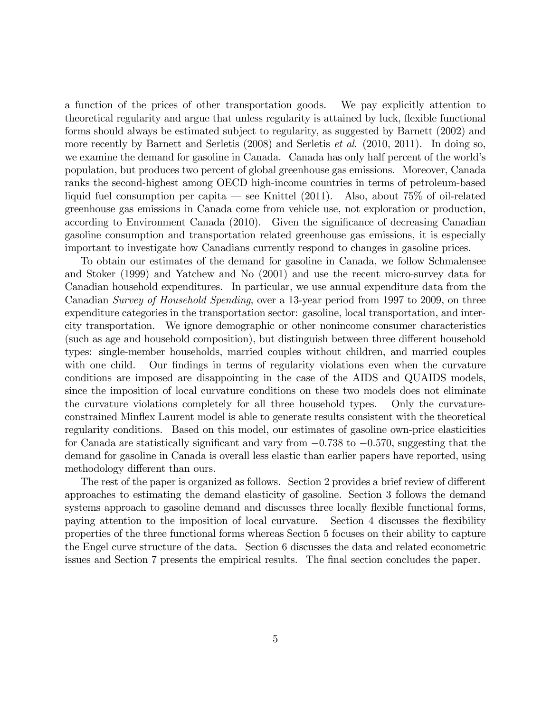a function of the prices of other transportation goods. We pay explicitly attention to theoretical regularity and argue that unless regularity is attained by luck, flexible functional forms should always be estimated subject to regularity, as suggested by Barnett (2002) and more recently by Barnett and Serletis (2008) and Serletis et al. (2010, 2011). In doing so, we examine the demand for gasoline in Canada. Canada has only half percent of the world's population, but produces two percent of global greenhouse gas emissions. Moreover, Canada ranks the second-highest among OECD high-income countries in terms of petroleum-based liquid fuel consumption per capita – see Knittel  $(2011)$ . Also, about 75% of oil-related greenhouse gas emissions in Canada come from vehicle use, not exploration or production, according to Environment Canada (2010). Given the significance of decreasing Canadian gasoline consumption and transportation related greenhouse gas emissions, it is especially important to investigate how Canadians currently respond to changes in gasoline prices.

To obtain our estimates of the demand for gasoline in Canada, we follow Schmalensee and Stoker (1999) and Yatchew and No (2001) and use the recent micro-survey data for Canadian household expenditures. In particular, we use annual expenditure data from the Canadian Survey of Household Spending, over a 13-year period from 1997 to 2009, on three expenditure categories in the transportation sector: gasoline, local transportation, and intercity transportation. We ignore demographic or other nonincome consumer characteristics (such as age and household composition), but distinguish between three different household types: single-member households, married couples without children, and married couples with one child. Our findings in terms of regularity violations even when the curvature conditions are imposed are disappointing in the case of the AIDS and QUAIDS models, since the imposition of local curvature conditions on these two models does not eliminate the curvature violations completely for all three household types. Only the curvatureconstrained Mináex Laurent model is able to generate results consistent with the theoretical regularity conditions. Based on this model, our estimates of gasoline own-price elasticities for Canada are statistically significant and vary from  $-0.738$  to  $-0.570$ , suggesting that the demand for gasoline in Canada is overall less elastic than earlier papers have reported, using methodology different than ours.

The rest of the paper is organized as follows. Section 2 provides a brief review of different approaches to estimating the demand elasticity of gasoline. Section 3 follows the demand systems approach to gasoline demand and discusses three locally flexible functional forms, paying attention to the imposition of local curvature. Section 4 discusses the flexibility properties of the three functional forms whereas Section 5 focuses on their ability to capture the Engel curve structure of the data. Section 6 discusses the data and related econometric issues and Section 7 presents the empirical results. The final section concludes the paper.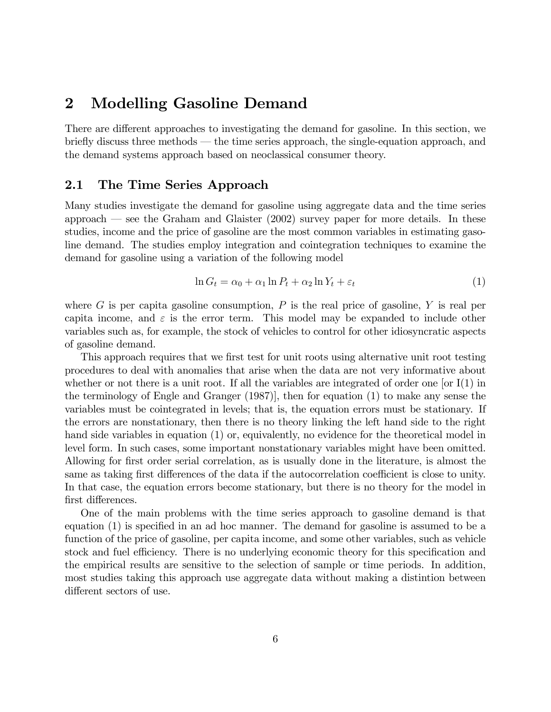# 2 Modelling Gasoline Demand

There are different approaches to investigating the demand for gasoline. In this section, we briefly discuss three methods – the time series approach, the single-equation approach, and the demand systems approach based on neoclassical consumer theory.

### 2.1 The Time Series Approach

Many studies investigate the demand for gasoline using aggregate data and the time series approach  $\sim$  see the Graham and Glaister (2002) survey paper for more details. In these studies, income and the price of gasoline are the most common variables in estimating gasoline demand. The studies employ integration and cointegration techniques to examine the demand for gasoline using a variation of the following model

$$
\ln G_t = \alpha_0 + \alpha_1 \ln P_t + \alpha_2 \ln Y_t + \varepsilon_t \tag{1}
$$

where G is per capita gasoline consumption,  $P$  is the real price of gasoline, Y is real per capita income, and  $\varepsilon$  is the error term. This model may be expanded to include other variables such as, for example, the stock of vehicles to control for other idiosyncratic aspects of gasoline demand.

This approach requires that we first test for unit roots using alternative unit root testing procedures to deal with anomalies that arise when the data are not very informative about whether or not there is a unit root. If all the variables are integrated of order one [or  $I(1)$  in the terminology of Engle and Granger (1987)], then for equation (1) to make any sense the variables must be cointegrated in levels; that is, the equation errors must be stationary. If the errors are nonstationary, then there is no theory linking the left hand side to the right hand side variables in equation (1) or, equivalently, no evidence for the theoretical model in level form. In such cases, some important nonstationary variables might have been omitted. Allowing for first order serial correlation, as is usually done in the literature, is almost the same as taking first differences of the data if the autocorrelation coefficient is close to unity. In that case, the equation errors become stationary, but there is no theory for the model in first differences.

One of the main problems with the time series approach to gasoline demand is that equation  $(1)$  is specified in an ad hoc manner. The demand for gasoline is assumed to be a function of the price of gasoline, per capita income, and some other variables, such as vehicle stock and fuel efficiency. There is no underlying economic theory for this specification and the empirical results are sensitive to the selection of sample or time periods. In addition, most studies taking this approach use aggregate data without making a distintion between different sectors of use.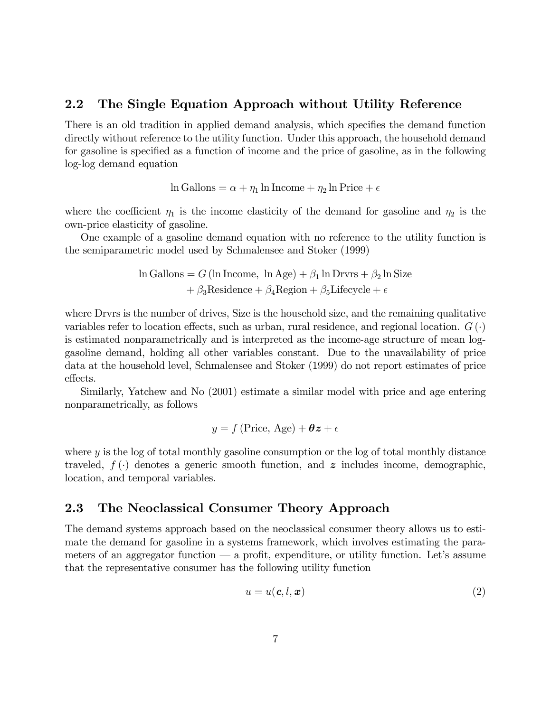### 2.2 The Single Equation Approach without Utility Reference

There is an old tradition in applied demand analysis, which specifies the demand function directly without reference to the utility function. Under this approach, the household demand for gasoline is specified as a function of income and the price of gasoline, as in the following log-log demand equation

$$
\ln \text{Gallons} = \alpha + \eta_1 \ln \text{Income} + \eta_2 \ln \text{Price} + \epsilon
$$

where the coefficient  $\eta_1$  is the income elasticity of the demand for gasoline and  $\eta_2$  is the own-price elasticity of gasoline.

One example of a gasoline demand equation with no reference to the utility function is the semiparametric model used by Schmalensee and Stoker (1999)

$$
\ln \text{Gallons} = G \left( \ln \text{ Income}, \ln \text{Age} \right) + \beta_1 \ln \text{Drvrs} + \beta_2 \ln \text{Size} + \beta_3 \text{Residence} + \beta_4 \text{Region} + \beta_5 \text{Lifecycle} + \epsilon
$$

where Drvrs is the number of drives, Size is the household size, and the remaining qualitative variables refer to location effects, such as urban, rural residence, and regional location.  $G(\cdot)$ is estimated nonparametrically and is interpreted as the income-age structure of mean loggasoline demand, holding all other variables constant. Due to the unavailability of price data at the household level, Schmalensee and Stoker (1999) do not report estimates of price effects.

Similarly, Yatchew and No (2001) estimate a similar model with price and age entering nonparametrically, as follows

$$
y = f(\text{Price}, \text{Age}) + \theta z + \epsilon
$$

where y is the log of total monthly gasoline consumption or the log of total monthly distance traveled,  $f(\cdot)$  denotes a generic smooth function, and z includes income, demographic, location, and temporal variables.

### 2.3 The Neoclassical Consumer Theory Approach

The demand systems approach based on the neoclassical consumer theory allows us to estimate the demand for gasoline in a systems framework, which involves estimating the parameters of an aggregator function  $\sim$  a profit, expenditure, or utility function. Let's assume that the representative consumer has the following utility function

$$
u = u(\mathbf{c}, l, \mathbf{x}) \tag{2}
$$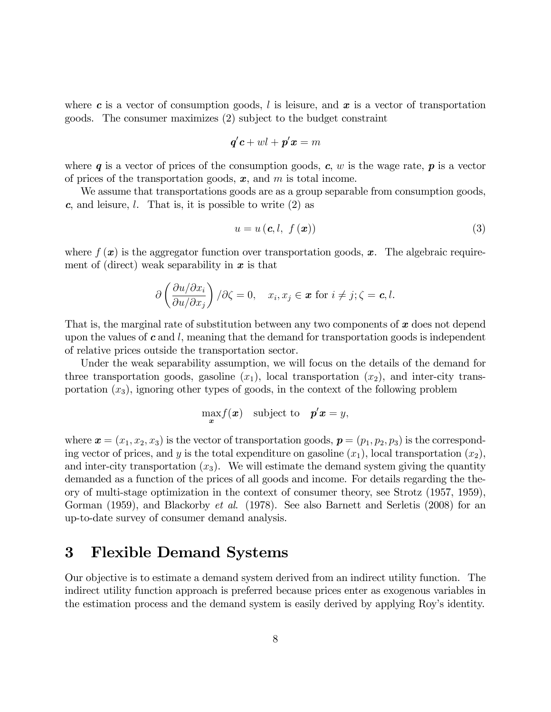where c is a vector of consumption goods, l is leisure, and  $x$  is a vector of transportation goods. The consumer maximizes (2) subject to the budget constraint

$$
\boldsymbol{q'}\boldsymbol{c}+w\boldsymbol{l}+\boldsymbol{p'}\boldsymbol{x}=m
$$

where  $q$  is a vector of prices of the consumption goods,  $c, w$  is the wage rate,  $p$  is a vector of prices of the transportation goods,  $x$ , and  $m$  is total income.

We assume that transportations goods are as a group separable from consumption goods,  $c$ , and leisure,  $l$ . That is, it is possible to write  $(2)$  as

$$
u = u\left(\mathbf{c}, l, f\left(\mathbf{x}\right)\right) \tag{3}
$$

where  $f(\mathbf{x})$  is the aggregator function over transportation goods,  $\mathbf{x}$ . The algebraic requirement of (direct) weak separability in  $x$  is that

$$
\partial \left( \frac{\partial u/\partial x_i}{\partial u/\partial x_j} \right) / \partial \zeta = 0, \quad x_i, x_j \in \mathbf{x} \text{ for } i \neq j; \zeta = \mathbf{c}, l.
$$

That is, the marginal rate of substitution between any two components of  $x$  does not depend upon the values of  $c$  and  $l$ , meaning that the demand for transportation goods is independent of relative prices outside the transportation sector.

Under the weak separability assumption, we will focus on the details of the demand for three transportation goods, gasoline  $(x_1)$ , local transportation  $(x_2)$ , and inter-city transportation  $(x_3)$ , ignoring other types of goods, in the context of the following problem

$$
\max_{\bm{x}} f(\bm{x}) \quad \text{subject to} \quad \bm{p}'\bm{x} = y,
$$

where  $\mathbf{x} = (x_1, x_2, x_3)$  is the vector of transportation goods,  $\mathbf{p} = (p_1, p_2, p_3)$  is the corresponding vector of prices, and y is the total expenditure on gasoline  $(x_1)$ , local transportation  $(x_2)$ , and inter-city transportation  $(x_3)$ . We will estimate the demand system giving the quantity demanded as a function of the prices of all goods and income. For details regarding the theory of multi-stage optimization in the context of consumer theory, see Strotz (1957, 1959), Gorman (1959), and Blackorby *et al.* (1978). See also Barnett and Serletis (2008) for an up-to-date survey of consumer demand analysis.

# 3 Flexible Demand Systems

Our objective is to estimate a demand system derived from an indirect utility function. The indirect utility function approach is preferred because prices enter as exogenous variables in the estimation process and the demand system is easily derived by applying Roy's identity.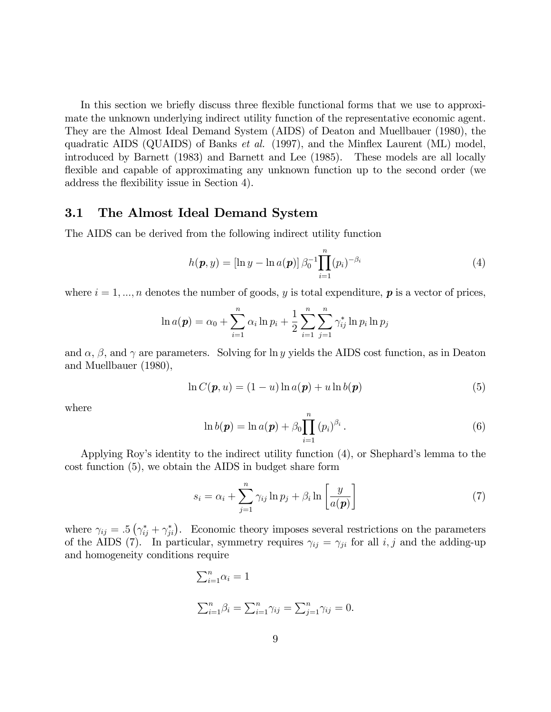In this section we briefly discuss three flexible functional forms that we use to approximate the unknown underlying indirect utility function of the representative economic agent. They are the Almost Ideal Demand System (AIDS) of Deaton and Muellbauer (1980), the quadratic AIDS (QUAIDS) of Banks *et al.* (1997), and the Minflex Laurent (ML) model, introduced by Barnett (1983) and Barnett and Lee (1985). These models are all locally flexible and capable of approximating any unknown function up to the second order (we address the flexibility issue in Section 4).

### 3.1 The Almost Ideal Demand System

The AIDS can be derived from the following indirect utility function

$$
h(\mathbf{p}, y) = [\ln y - \ln a(\mathbf{p})] \beta_0^{-1} \prod_{i=1}^n (p_i)^{-\beta_i}
$$
 (4)

where  $i = 1, ..., n$  denotes the number of goods, y is total expenditure, p is a vector of prices,

$$
\ln a(\mathbf{p}) = \alpha_0 + \sum_{i=1}^n \alpha_i \ln p_i + \frac{1}{2} \sum_{i=1}^n \sum_{j=1}^n \gamma_{ij}^* \ln p_i \ln p_j
$$

and  $\alpha$ ,  $\beta$ , and  $\gamma$  are parameters. Solving for ln y yields the AIDS cost function, as in Deaton and Muellbauer (1980),

$$
\ln C(\boldsymbol{p}, u) = (1 - u) \ln a(\boldsymbol{p}) + u \ln b(\boldsymbol{p}) \tag{5}
$$

where

$$
\ln b(\boldsymbol{p}) = \ln a(\boldsymbol{p}) + \beta_0 \prod_{i=1}^{n} (p_i)^{\beta_i}.
$$
 (6)

Applying Roy's identity to the indirect utility function  $(4)$ , or Shephard's lemma to the cost function (5), we obtain the AIDS in budget share form

$$
s_i = \alpha_i + \sum_{j=1}^n \gamma_{ij} \ln p_j + \beta_i \ln \left[ \frac{y}{a(\mathbf{p})} \right] \tag{7}
$$

where  $\gamma_{ij} = .5(\gamma_{ij}^* + \gamma_{ji}^*)$ . Economic theory imposes several restrictions on the parameters of the AIDS (7). In particular, symmetry requires  $\gamma_{ij} = \gamma_{ji}$  for all i, j and the adding-up and homogeneity conditions require

$$
\sum_{i=1}^{n} \alpha_i = 1
$$
  

$$
\sum_{i=1}^{n} \beta_i = \sum_{i=1}^{n} \gamma_{ij} = \sum_{j=1}^{n} \gamma_{ij} = 0.
$$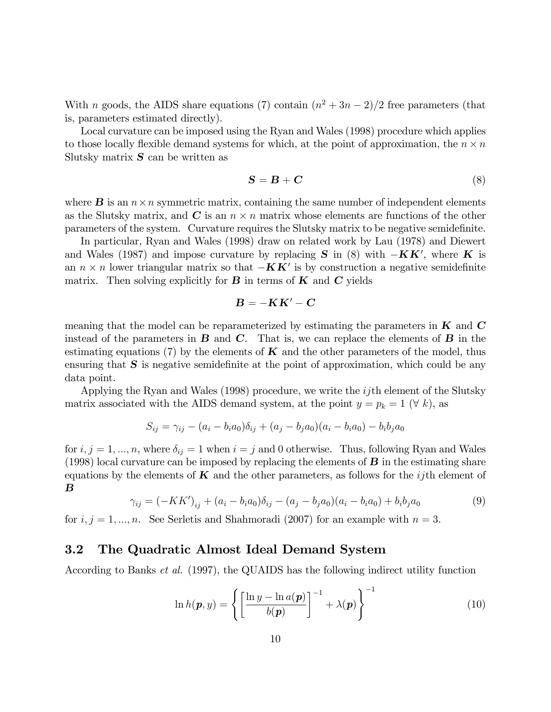With *n* goods, the AIDS share equations (7) contain  $(n^2 + 3n - 2)/2$  free parameters (that is, parameters estimated directly).

Local curvature can be imposed using the Ryan and Wales (1998) procedure which applies to those locally flexible demand systems for which, at the point of approximation, the  $n \times n$ Slutsky matrix  $S$  can be written as

$$
S = B + C \tag{8}
$$

where  $\bf{B}$  is an  $n \times n$  symmetric matrix, containing the same number of independent elements as the Slutsky matrix, and  $C$  is an  $n \times n$  matrix whose elements are functions of the other parameters of the system. Curvature requires the Slutsky matrix to be negative semidefinite.

In particular, Ryan and Wales (1998) draw on related work by Lau (1978) and Diewert and Wales (1987) and impose curvature by replacing  $S$  in (8) with  $-KK'$ , where K is an  $n \times n$  lower triangular matrix so that  $-\mathbf{K}\mathbf{K}'$  is by construction a negative semidefinite matrix. Then solving explicitly for  $B$  in terms of  $K$  and  $C$  yields

$$
B=-KK'-C
$$

meaning that the model can be reparameterized by estimating the parameters in  $K$  and  $C$ instead of the parameters in  $\bf{B}$  and  $\bf{C}$ . That is, we can replace the elements of  $\bf{B}$  in the estimating equations (7) by the elements of  $\bf{K}$  and the other parameters of the model, thus ensuring that  $S$  is negative semidefinite at the point of approximation, which could be any data point.

Applying the Ryan and Wales (1998) procedure, we write the *ij*th element of the Slutsky matrix associated with the AIDS demand system, at the point  $y = p_k = 1 \ (\forall k)$ , as

$$
S_{ij} = \gamma_{ij} - (a_i - b_i a_0) \delta_{ij} + (a_j - b_j a_0) (a_i - b_i a_0) - b_i b_j a_0
$$

for  $i, j = 1, ..., n$ , where  $\delta_{ij} = 1$  when  $i = j$  and 0 otherwise. Thus, following Ryan and Wales (1998) local curvature can be imposed by replacing the elements of  $\bf{B}$  in the estimating share equations by the elements of  $\boldsymbol{K}$  and the other parameters, as follows for the *i*jth element of B

$$
\gamma_{ij} = (-KK')_{ij} + (a_i - b_i a_0) \delta_{ij} - (a_j - b_j a_0) (a_i - b_i a_0) + b_i b_j a_0 \tag{9}
$$

for  $i, j = 1, ..., n$ . See Serletis and Shahmoradi (2007) for an example with  $n = 3$ .

### 3.2 The Quadratic Almost Ideal Demand System

According to Banks et al. (1997), the QUAIDS has the following indirect utility function

$$
\ln h(\boldsymbol{p}, y) = \left\{ \left[ \frac{\ln y - \ln a(\boldsymbol{p})}{b(\boldsymbol{p})} \right]^{-1} + \lambda(\boldsymbol{p}) \right\}^{-1}
$$
(10)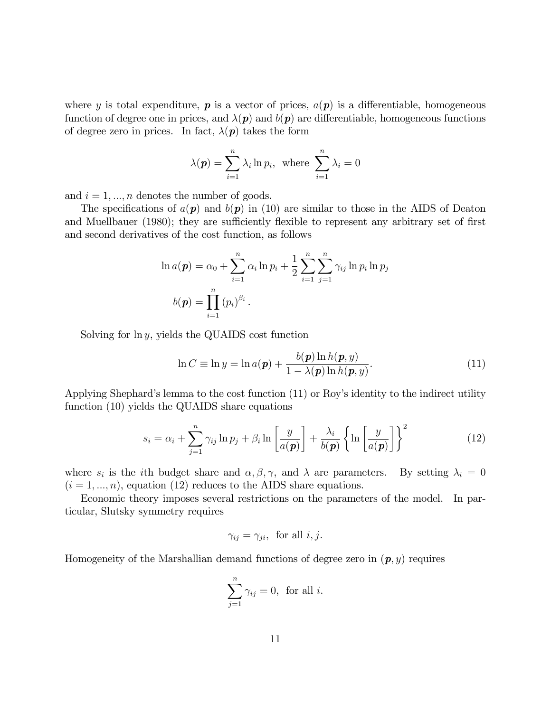where y is total expenditure, p is a vector of prices,  $a(p)$  is a differentiable, homogeneous function of degree one in prices, and  $\lambda(p)$  and  $b(p)$  are differentiable, homogeneous functions of degree zero in prices. In fact,  $\lambda(\mathbf{p})$  takes the form

$$
\lambda(\mathbf{p}) = \sum_{i=1}^{n} \lambda_i \ln p_i, \text{ where } \sum_{i=1}^{n} \lambda_i = 0
$$

and  $i = 1, ..., n$  denotes the number of goods.

The specifications of  $a(p)$  and  $b(p)$  in (10) are similar to those in the AIDS of Deaton and Muellbauer (1980); they are sufficiently flexible to represent any arbitrary set of first and second derivatives of the cost function, as follows

$$
\ln a(\boldsymbol{p}) = \alpha_0 + \sum_{i=1}^n \alpha_i \ln p_i + \frac{1}{2} \sum_{i=1}^n \sum_{j=1}^n \gamma_{ij} \ln p_i \ln p_j
$$
  

$$
b(\boldsymbol{p}) = \prod_{i=1}^n (p_i)^{\beta_i}.
$$

Solving for  $\ln y$ , yields the QUAIDS cost function

$$
\ln C \equiv \ln y = \ln a(\mathbf{p}) + \frac{b(\mathbf{p}) \ln h(\mathbf{p}, y)}{1 - \lambda(\mathbf{p}) \ln h(\mathbf{p}, y)}.
$$
\n(11)

Applying Shephard's lemma to the cost function (11) or Roy's identity to the indirect utility function (10) yields the QUAIDS share equations

$$
s_i = \alpha_i + \sum_{j=1}^n \gamma_{ij} \ln p_j + \beta_i \ln \left[ \frac{y}{a(\boldsymbol{p})} \right] + \frac{\lambda_i}{b(\boldsymbol{p})} \left\{ \ln \left[ \frac{y}{a(\boldsymbol{p})} \right] \right\}^2 \tag{12}
$$

where  $s_i$  is the *i*th budget share and  $\alpha, \beta, \gamma$ , and  $\lambda$  are parameters. By setting  $\lambda_i = 0$  $(i = 1, ..., n)$ , equation (12) reduces to the AIDS share equations.

Economic theory imposes several restrictions on the parameters of the model. In particular, Slutsky symmetry requires

$$
\gamma_{ij} = \gamma_{ji}, \text{ for all } i, j.
$$

Homogeneity of the Marshallian demand functions of degree zero in  $(p, y)$  requires

$$
\sum_{j=1}^{n} \gamma_{ij} = 0, \text{ for all } i.
$$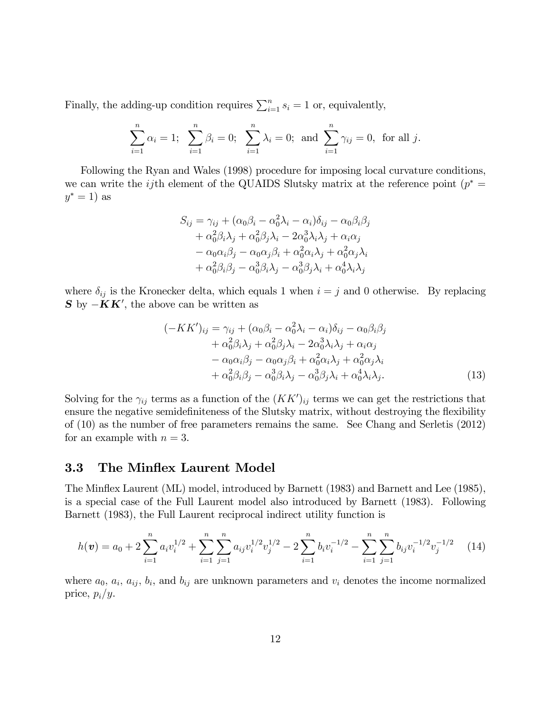Finally, the adding-up condition requires  $\sum_{i=1}^{n} s_i = 1$  or, equivalently,

$$
\sum_{i=1}^{n} \alpha_i = 1; \quad \sum_{i=1}^{n} \beta_i = 0; \quad \sum_{i=1}^{n} \lambda_i = 0; \text{ and } \sum_{i=1}^{n} \gamma_{ij} = 0, \text{ for all } j.
$$

Following the Ryan and Wales (1998) procedure for imposing local curvature conditions, we can write the *ij*th element of the QUAIDS Slutsky matrix at the reference point  $(p^* =$  $y^* = 1$ ) as

$$
S_{ij} = \gamma_{ij} + (\alpha_0 \beta_i - \alpha_0^2 \lambda_i - \alpha_i) \delta_{ij} - \alpha_0 \beta_i \beta_j
$$
  
+  $\alpha_0^2 \beta_i \lambda_j + \alpha_0^2 \beta_j \lambda_i - 2 \alpha_0^3 \lambda_i \lambda_j + \alpha_i \alpha_j$   
-  $\alpha_0 \alpha_i \beta_j - \alpha_0 \alpha_j \beta_i + \alpha_0^2 \alpha_i \lambda_j + \alpha_0^2 \alpha_j \lambda_i$   
+  $\alpha_0^2 \beta_i \beta_j - \alpha_0^3 \beta_i \lambda_j - \alpha_0^3 \beta_j \lambda_i + \alpha_0^4 \lambda_i \lambda_j$ 

where  $\delta_{ij}$  is the Kronecker delta, which equals 1 when  $i = j$  and 0 otherwise. By replacing  $S$  by  $-KK'$ , the above can be written as

$$
(-KK')_{ij} = \gamma_{ij} + (\alpha_0 \beta_i - \alpha_0^2 \lambda_i - \alpha_i) \delta_{ij} - \alpha_0 \beta_i \beta_j + \alpha_0^2 \beta_i \lambda_j + \alpha_0^2 \beta_j \lambda_i - 2 \alpha_0^3 \lambda_i \lambda_j + \alpha_i \alpha_j - \alpha_0 \alpha_i \beta_j - \alpha_0 \alpha_j \beta_i + \alpha_0^2 \alpha_i \lambda_j + \alpha_0^2 \alpha_j \lambda_i + \alpha_0^2 \beta_i \beta_j - \alpha_0^3 \beta_i \lambda_j - \alpha_0^3 \beta_j \lambda_i + \alpha_0^4 \lambda_i \lambda_j.
$$
 (13)

Solving for the  $\gamma_{ij}$  terms as a function of the  $(KK')_{ij}$  terms we can get the restrictions that ensure the negative semidefiniteness of the Slutsky matrix, without destroying the flexibility of (10) as the number of free parameters remains the same. See Chang and Serletis (2012) for an example with  $n = 3$ .

### 3.3 The Minflex Laurent Model

The Minflex Laurent (ML) model, introduced by Barnett (1983) and Barnett and Lee (1985), is a special case of the Full Laurent model also introduced by Barnett (1983). Following Barnett (1983), the Full Laurent reciprocal indirect utility function is

$$
h(\boldsymbol{v}) = a_0 + 2\sum_{i=1}^n a_i v_i^{1/2} + \sum_{i=1}^n \sum_{j=1}^n a_{ij} v_i^{1/2} v_j^{1/2} - 2\sum_{i=1}^n b_i v_i^{-1/2} - \sum_{i=1}^n \sum_{j=1}^n b_{ij} v_i^{-1/2} v_j^{-1/2}
$$
 (14)

where  $a_0, a_i, a_{ij}, b_i$ , and  $b_{ij}$  are unknown parameters and  $v_i$  denotes the income normalized price,  $p_i/y$ .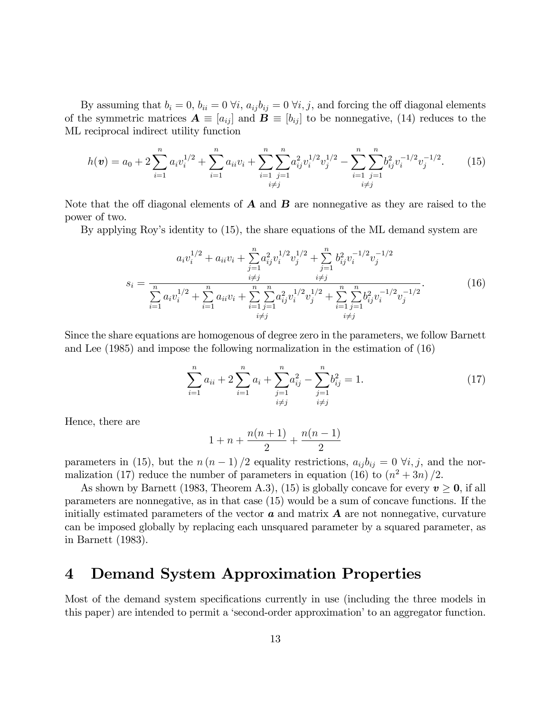By assuming that  $b_i = 0$ ,  $b_{ii} = 0 \forall i$ ,  $a_{ij}b_{ij} = 0 \forall i, j$ , and forcing the off diagonal elements of the symmetric matrices  $\mathbf{A} \equiv [a_{ij}]$  and  $\mathbf{B} \equiv [b_{ij}]$  to be nonnegative, (14) reduces to the ML reciprocal indirect utility function

$$
h(\boldsymbol{v}) = a_0 + 2\sum_{i=1}^n a_i v_i^{1/2} + \sum_{i=1}^n a_{ii} v_i + \sum_{i=1}^n \sum_{\substack{j=1 \ i \neq j}}^n a_{ij}^2 v_i^{1/2} v_j^{1/2} - \sum_{i=1}^n \sum_{\substack{j=1 \ i \neq j}}^n b_{ij}^2 v_i^{-1/2} v_j^{-1/2}.
$$
 (15)

Note that the off diagonal elements of  $\bf{A}$  and  $\bf{B}$  are nonnegative as they are raised to the power of two.

By applying Roy's identity to (15), the share equations of the ML demand system are

$$
a_i v_i^{1/2} + a_{ii} v_i + \sum_{j=1}^n a_{ij}^2 v_i^{1/2} v_j^{1/2} + \sum_{j=1}^n b_{ij}^2 v_i^{-1/2} v_j^{-1/2}
$$
  

$$
s_i = \frac{\sum_{i=1}^n a_i v_i^{1/2} + \sum_{i=1}^n a_{ii} v_i + \sum_{i=1}^n \sum_{j=1}^n a_{ij}^2 v_i^{1/2} v_j^{1/2} + \sum_{i=1}^n \sum_{j=1}^n b_{ij}^2 v_i^{-1/2} v_j^{-1/2}}{\sum_{i \neq j}^n b_{ij}^2 v_i^{-1/2} v_j^{-1/2}}.
$$
 (16)

Since the share equations are homogenous of degree zero in the parameters, we follow Barnett and Lee (1985) and impose the following normalization in the estimation of (16)

$$
\sum_{i=1}^{n} a_{ii} + 2\sum_{i=1}^{n} a_i + \sum_{\substack{j=1 \ i \neq j}}^{n} a_{ij}^2 - \sum_{\substack{j=1 \ i \neq j}}^{n} b_{ij}^2 = 1.
$$
 (17)

Hence, there are

$$
1 + n + \frac{n(n+1)}{2} + \frac{n(n-1)}{2}
$$

parameters in (15), but the  $n (n - 1) / 2$  equality restrictions,  $a_{ij} b_{ij} = 0 \ \forall i, j$ , and the normalization (17) reduce the number of parameters in equation (16) to  $(n^2+3n)/2$ .

As shown by Barnett (1983, Theorem A.3), (15) is globally concave for every  $v \ge 0$ , if all parameters are nonnegative, as in that case (15) would be a sum of concave functions. If the initially estimated parameters of the vector  $\boldsymbol{a}$  and matrix  $\boldsymbol{A}$  are not nonnegative, curvature can be imposed globally by replacing each unsquared parameter by a squared parameter, as in Barnett (1983).

# 4 Demand System Approximation Properties

Most of the demand system specifications currently in use (including the three models in this paper) are intended to permit a 'second-order approximation' to an aggregator function.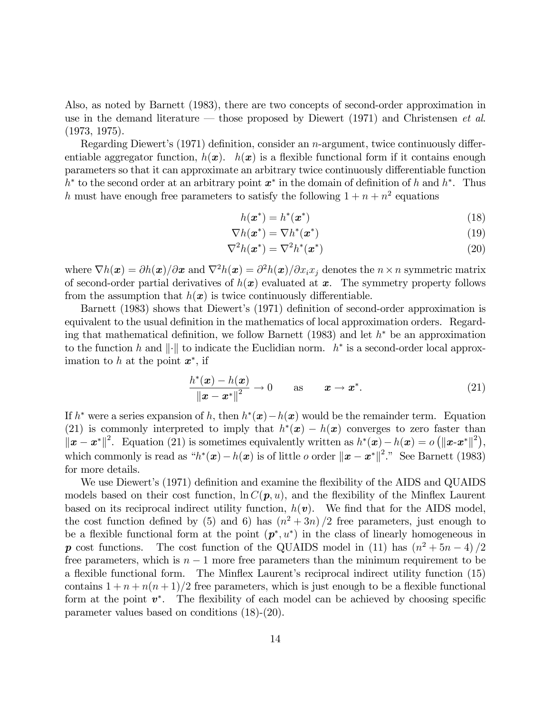Also, as noted by Barnett (1983), there are two concepts of second-order approximation in use in the demand literature – those proposed by Diewert (1971) and Christensen et al. (1973, 1975).

Regarding Diewert's  $(1971)$  definition, consider an *n*-argument, twice continuously differentiable aggregator function,  $h(x)$ .  $h(x)$  is a flexible functional form if it contains enough parameters so that it can approximate an arbitrary twice continuously differentiable function  $h^*$  to the second order at an arbitrary point  $x^*$  in the domain of definition of h and  $h^*$ . Thus h must have enough free parameters to satisfy the following  $1 + n + n^2$  equations

$$
h(\boldsymbol{x}^*) = h^*(\boldsymbol{x}^*)
$$
\n<sup>(18)</sup>

$$
\nabla h(\boldsymbol{x}^*) = \nabla h^*(\boldsymbol{x}^*)
$$
\n(19)

$$
\nabla^2 h(\boldsymbol{x}^*) = \nabla^2 h^*(\boldsymbol{x}^*)
$$
\n(20)

where  $\nabla h(x) = \partial h(x)/\partial x$  and  $\nabla^2 h(x) = \partial^2 h(x)/\partial x_i x_j$  denotes the  $n \times n$  symmetric matrix of second-order partial derivatives of  $h(x)$  evaluated at x. The symmetry property follows from the assumption that  $h(x)$  is twice continuously differentiable.

Barnett (1983) shows that Diewert's (1971) definition of second-order approximation is equivalent to the usual definition in the mathematics of local approximation orders. Regarding that mathematical definition, we follow Barnett (1983) and let  $h^*$  be an approximation to the function h and  $\|\cdot\|$  to indicate the Euclidian norm.  $h^*$  is a second-order local approximation to h at the point  $x^*$ , if

$$
\frac{h^*(\boldsymbol{x}) - h(\boldsymbol{x})}{\|\boldsymbol{x} - \boldsymbol{x}^*\|^2} \to 0 \qquad \text{as} \qquad \boldsymbol{x} \to \boldsymbol{x}^*.
$$
 (21)

If  $h^*$  were a series expansion of h, then  $h^*(x) - h(x)$  would be the remainder term. Equation (21) is commonly interpreted to imply that  $h^*(x) - h(x)$  converges to zero faster than  $||\mathbf{x} - \mathbf{x}^*||^2$ . Equation (21) is sometimes equivalently written as  $h^*(\mathbf{x}) - h(\mathbf{x}) = o(||\mathbf{x}-\mathbf{x}^*||^2)$ , which commonly is read as  $h^*(x) - h(x)$  is of little *o* order  $||x - x^*||^2$ ." See Barnett (1983) for more details.

We use Diewert's (1971) definition and examine the flexibility of the AIDS and QUAIDS models based on their cost function,  $\ln C(p, u)$ , and the flexibility of the Minflex Laurent based on its reciprocal indirect utility function,  $h(\mathbf{v})$ . We find that for the AIDS model, the cost function defined by (5) and 6) has  $(n^2+3n)/2$  free parameters, just enough to be a flexible functional form at the point  $(p^*, u^*)$  in the class of linearly homogeneous in p cost functions. The cost function of the QUAIDS model in (11) has  $(n^2 + 5n - 4)/2$ free parameters, which is  $n - 1$  more free parameters than the minimum requirement to be a flexible functional form. The Minflex Laurent's reciprocal indirect utility function (15) contains  $1 + n + n(n + 1)/2$  free parameters, which is just enough to be a flexible functional form at the point  $v^*$ . The flexibility of each model can be achieved by choosing specific parameter values based on conditions (18)-(20).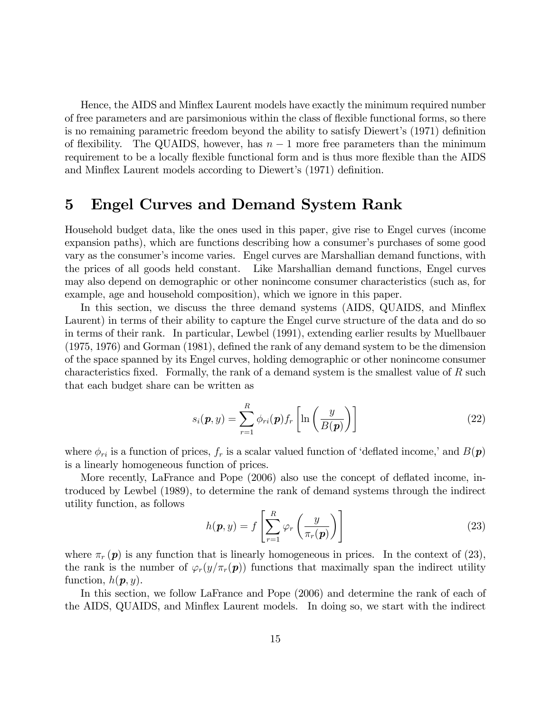Hence, the AIDS and Minflex Laurent models have exactly the minimum required number of free parameters and are parsimonious within the class of flexible functional forms, so there is no remaining parametric freedom beyond the ability to satisfy Diewert's (1971) definition of flexibility. The QUAIDS, however, has  $n-1$  more free parameters than the minimum requirement to be a locally flexible functional form and is thus more flexible than the AIDS and Minflex Laurent models according to Diewert's (1971) definition.

# 5 Engel Curves and Demand System Rank

Household budget data, like the ones used in this paper, give rise to Engel curves (income expansion paths), which are functions describing how a consumer's purchases of some good vary as the consumer's income varies. Engel curves are Marshallian demand functions, with the prices of all goods held constant. Like Marshallian demand functions, Engel curves may also depend on demographic or other nonincome consumer characteristics (such as, for example, age and household composition), which we ignore in this paper.

In this section, we discuss the three demand systems (AIDS, QUAIDS, and Mináex Laurent) in terms of their ability to capture the Engel curve structure of the data and do so in terms of their rank. In particular, Lewbel (1991), extending earlier results by Muellbauer  $(1975, 1976)$  and Gorman  $(1981)$ , defined the rank of any demand system to be the dimension of the space spanned by its Engel curves, holding demographic or other nonincome consumer characteristics fixed. Formally, the rank of a demand system is the smallest value of  $R$  such that each budget share can be written as

$$
s_i(\mathbf{p}, y) = \sum_{r=1}^{R} \phi_{ri}(\mathbf{p}) f_r \left[ \ln \left( \frac{y}{B(\mathbf{p})} \right) \right]
$$
 (22)

where  $\phi_{ri}$  is a function of prices,  $f_r$  is a scalar valued function of 'deflated income,' and  $B(p)$ is a linearly homogeneous function of prices.

More recently, LaFrance and Pope (2006) also use the concept of deflated income, introduced by Lewbel (1989), to determine the rank of demand systems through the indirect utility function, as follows

$$
h(\mathbf{p}, y) = f\left[\sum_{r=1}^{R} \varphi_r\left(\frac{y}{\pi_r(\mathbf{p})}\right)\right]
$$
 (23)

where  $\pi_r(p)$  is any function that is linearly homogeneous in prices. In the context of (23), the rank is the number of  $\varphi_r(y/\pi_r(p))$  functions that maximally span the indirect utility function,  $h(\mathbf{p}, y)$ .

In this section, we follow LaFrance and Pope (2006) and determine the rank of each of the AIDS, QUAIDS, and Mináex Laurent models. In doing so, we start with the indirect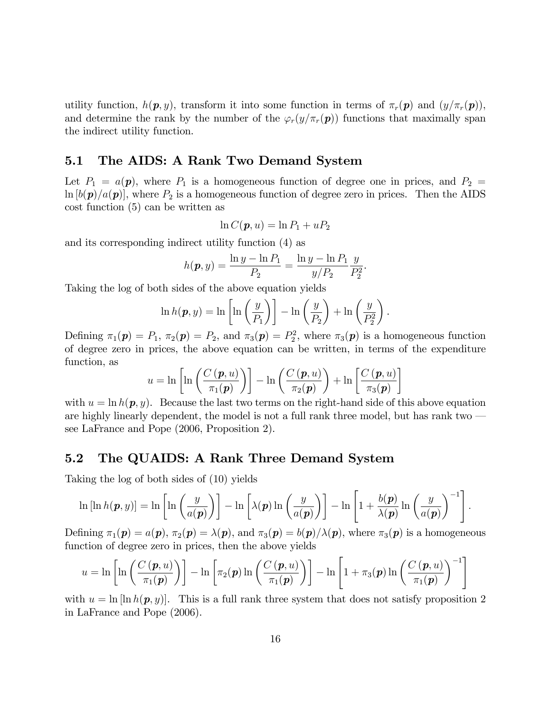utility function,  $h(\mathbf{p}, y)$ , transform it into some function in terms of  $\pi_r(\mathbf{p})$  and  $(y/\pi_r(\mathbf{p}))$ , and determine the rank by the number of the  $\varphi_r(y/\pi_r(p))$  functions that maximally span the indirect utility function.

### 5.1 The AIDS: A Rank Two Demand System

Let  $P_1 = a(\mathbf{p})$ , where  $P_1$  is a homogeneous function of degree one in prices, and  $P_2 =$  $\ln [b(\mathbf{p})/a(\mathbf{p})]$ , where  $P_2$  is a homogeneous function of degree zero in prices. Then the AIDS cost function (5) can be written as

$$
\ln C(\boldsymbol{p},u)=\ln P_1+uP_2
$$

and its corresponding indirect utility function (4) as

$$
h(\mathbf{p}, y) = \frac{\ln y - \ln P_1}{P_2} = \frac{\ln y - \ln P_1}{y/P_2} \frac{y}{P_2^2}.
$$

Taking the log of both sides of the above equation yields

$$
\ln h(\mathbf{p}, y) = \ln \left[ \ln \left( \frac{y}{P_1} \right) \right] - \ln \left( \frac{y}{P_2} \right) + \ln \left( \frac{y}{P_2^2} \right)
$$

.

Defining  $\pi_1(\mathbf{p}) = P_1$ ,  $\pi_2(\mathbf{p}) = P_2$ , and  $\pi_3(\mathbf{p}) = P_2^2$ , where  $\pi_3(\mathbf{p})$  is a homogeneous function of degree zero in prices, the above equation can be written, in terms of the expenditure function, as

$$
u = \ln \left[ \ln \left( \frac{C\left(\boldsymbol{p}, u\right)}{\pi_1(\boldsymbol{p})} \right) \right] - \ln \left( \frac{C\left(\boldsymbol{p}, u\right)}{\pi_2(\boldsymbol{p})} \right) + \ln \left[ \frac{C\left(\boldsymbol{p}, u\right)}{\pi_3(\boldsymbol{p})} \right]
$$

with  $u = \ln h(\mathbf{p}, y)$ . Because the last two terms on the right-hand side of this above equation are highly linearly dependent, the model is not a full rank three model, but has rank two  $\overline{\phantom{a}}$ see LaFrance and Pope (2006, Proposition 2).

### 5.2 The QUAIDS: A Rank Three Demand System

Taking the log of both sides of (10) yields

$$
\ln[\ln h(\boldsymbol{p},y)] = \ln\left[\ln\left(\frac{y}{a(\boldsymbol{p})}\right)\right] - \ln\left[\lambda(\boldsymbol{p})\ln\left(\frac{y}{a(\boldsymbol{p})}\right)\right] - \ln\left[1 + \frac{b(\boldsymbol{p})}{\lambda(\boldsymbol{p})}\ln\left(\frac{y}{a(\boldsymbol{p})}\right)^{-1}\right].
$$

Defining  $\pi_1(\mathbf{p}) = a(\mathbf{p}), \pi_2(\mathbf{p}) = \lambda(\mathbf{p}),$  and  $\pi_3(\mathbf{p}) = b(\mathbf{p})/\lambda(\mathbf{p}),$  where  $\pi_3(\mathbf{p})$  is a homogeneous function of degree zero in prices, then the above yields

$$
u = \ln\left[\ln\left(\frac{C\left(\boldsymbol{p}, u\right)}{\pi_1(\boldsymbol{p})}\right)\right] - \ln\left[\pi_2(\boldsymbol{p}) \ln\left(\frac{C\left(\boldsymbol{p}, u\right)}{\pi_1(\boldsymbol{p})}\right)\right] - \ln\left[1 + \pi_3(\boldsymbol{p}) \ln\left(\frac{C\left(\boldsymbol{p}, u\right)}{\pi_1(\boldsymbol{p})}\right)^{-1}\right]
$$

with  $u = \ln \left[ \ln h(p, y) \right]$ . This is a full rank three system that does not satisfy proposition 2 in LaFrance and Pope (2006).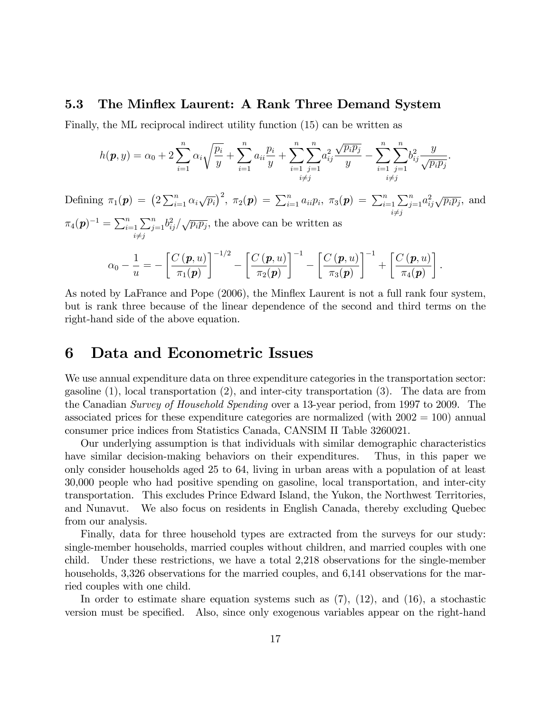### 5.3 The Minflex Laurent: A Rank Three Demand System

Finally, the ML reciprocal indirect utility function (15) can be written as

$$
h(\mathbf{p}, y) = \alpha_0 + 2 \sum_{i=1}^n \alpha_i \sqrt{\frac{p_i}{y}} + \sum_{i=1}^n a_{ii} \frac{p_i}{y} + \sum_{i=1}^n \sum_{j=1}^n a_{ij}^2 \frac{\sqrt{p_i p_j}}{y} - \sum_{i=1}^n \sum_{j=1}^n b_{ij}^2 \frac{y}{\sqrt{p_i p_j}}.
$$
  
Defining  $\pi_1(\mathbf{p}) = (2 \sum_{i=1}^n \alpha_i \sqrt{p_i})^2$ ,  $\pi_2(\mathbf{p}) = \sum_{i=1}^n a_{ii} p_i$ ,  $\pi_3(\mathbf{p}) = \sum_{i=1}^n \sum_{j=1}^n a_{ij}^2 \sqrt{p_i p_j}$ , and  $\pi_4(\mathbf{p})^{-1} = \sum_{i=1}^n \sum_{j=1}^n b_{ij}^2 / \sqrt{p_i p_j}$ , the above can be written as  

$$
\alpha_0 - \frac{1}{u} = -\left[ \frac{C(\mathbf{p}, u)}{\pi_1(\mathbf{p})} \right]^{-1/2} - \left[ \frac{C(\mathbf{p}, u)}{\pi_2(\mathbf{p})} \right]^{-1} - \left[ \frac{C(\mathbf{p}, u)}{\pi_3(\mathbf{p})} \right]^{-1} + \left[ \frac{C(\mathbf{p}, u)}{\pi_4(\mathbf{p})} \right].
$$

As noted by LaFrance and Pope (2006), the Minflex Laurent is not a full rank four system, but is rank three because of the linear dependence of the second and third terms on the right-hand side of the above equation.

## 6 Data and Econometric Issues

We use annual expenditure data on three expenditure categories in the transportation sector: gasoline (1), local transportation (2), and inter-city transportation (3). The data are from the Canadian Survey of Household Spending over a 13-year period, from 1997 to 2009. The associated prices for these expenditure categories are normalized (with  $2002 = 100$ ) annual consumer price indices from Statistics Canada, CANSIM II Table 3260021.

Our underlying assumption is that individuals with similar demographic characteristics have similar decision-making behaviors on their expenditures. Thus, in this paper we only consider households aged 25 to 64, living in urban areas with a population of at least 30,000 people who had positive spending on gasoline, local transportation, and inter-city transportation. This excludes Prince Edward Island, the Yukon, the Northwest Territories, and Nunavut. We also focus on residents in English Canada, thereby excluding Quebec from our analysis.

Finally, data for three household types are extracted from the surveys for our study: single-member households, married couples without children, and married couples with one child. Under these restrictions, we have a total 2,218 observations for the single-member households, 3,326 observations for the married couples, and 6,141 observations for the married couples with one child.

In order to estimate share equation systems such as  $(7)$ ,  $(12)$ , and  $(16)$ , a stochastic version must be specified. Also, since only exogenous variables appear on the right-hand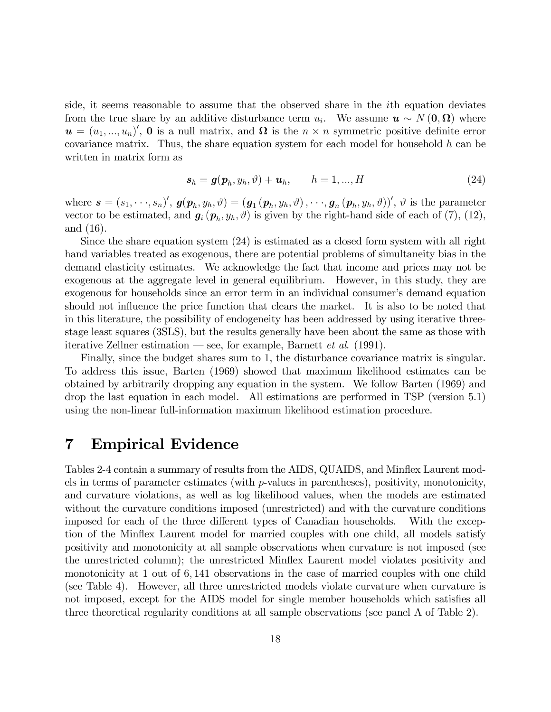side, it seems reasonable to assume that the observed share in the ith equation deviates from the true share by an additive disturbance term  $u_i$ . We assume  $u \sim N(0, \Omega)$  where  $\mathbf{u} = (u_1, ..., u_n)'$ , **0** is a null matrix, and  $\Omega$  is the  $n \times n$  symmetric positive definite error covariance matrix. Thus, the share equation system for each model for household  $h$  can be written in matrix form as

$$
\mathbf{s}_h = \mathbf{g}(\mathbf{p}_h, y_h, \vartheta) + \mathbf{u}_h, \qquad h = 1, ..., H
$$
\n(24)

where  $\mathbf{s} = (s_1, \dots, s_n)'$ ,  $\mathbf{g}(\mathbf{p}_h, y_h, \vartheta) = (\mathbf{g}_1(\mathbf{p}_h, y_h, \vartheta), \dots, \mathbf{g}_n(\mathbf{p}_h, y_h, \vartheta))'$ ,  $\vartheta$  is the parameter vector to be estimated, and  $g_i(p_h, y_h, \vartheta)$  is given by the right-hand side of each of (7), (12), and (16).

Since the share equation system (24) is estimated as a closed form system with all right hand variables treated as exogenous, there are potential problems of simultaneity bias in the demand elasticity estimates. We acknowledge the fact that income and prices may not be exogenous at the aggregate level in general equilibrium. However, in this study, they are exogenous for households since an error term in an individual consumer's demand equation should not influence the price function that clears the market. It is also to be noted that in this literature, the possibility of endogeneity has been addressed by using iterative threestage least squares (3SLS), but the results generally have been about the same as those with iterative Zellner estimation  $\sim$  see, for example, Barnett *et al.* (1991).

Finally, since the budget shares sum to 1, the disturbance covariance matrix is singular. To address this issue, Barten (1969) showed that maximum likelihood estimates can be obtained by arbitrarily dropping any equation in the system. We follow Barten (1969) and drop the last equation in each model. All estimations are performed in TSP (version 5.1) using the non-linear full-information maximum likelihood estimation procedure.

## 7 Empirical Evidence

Tables 2-4 contain a summary of results from the AIDS, QUAIDS, and Minflex Laurent models in terms of parameter estimates (with p-values in parentheses), positivity, monotonicity, and curvature violations, as well as log likelihood values, when the models are estimated without the curvature conditions imposed (unrestricted) and with the curvature conditions imposed for each of the three different types of Canadian households. With the exception of the Mináex Laurent model for married couples with one child, all models satisfy positivity and monotonicity at all sample observations when curvature is not imposed (see the unrestricted column); the unrestricted Mináex Laurent model violates positivity and monotonicity at 1 out of 6; 141 observations in the case of married couples with one child (see Table 4). However, all three unrestricted models violate curvature when curvature is not imposed, except for the AIDS model for single member households which satisfies all three theoretical regularity conditions at all sample observations (see panel A of Table 2).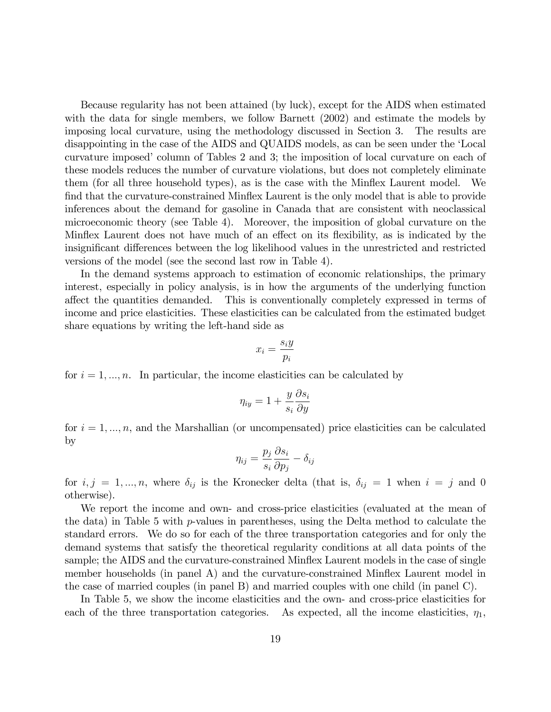Because regularity has not been attained (by luck), except for the AIDS when estimated with the data for single members, we follow Barnett (2002) and estimate the models by imposing local curvature, using the methodology discussed in Section 3. The results are disappointing in the case of the AIDS and QUAIDS models, as can be seen under the 'Local curvature imposed' column of Tables 2 and 3; the imposition of local curvature on each of these models reduces the number of curvature violations, but does not completely eliminate them (for all three household types), as is the case with the Mináex Laurent model. We find that the curvature-constrained Minflex Laurent is the only model that is able to provide inferences about the demand for gasoline in Canada that are consistent with neoclassical microeconomic theory (see Table 4). Moreover, the imposition of global curvature on the Minflex Laurent does not have much of an effect on its flexibility, as is indicated by the insignificant differences between the log likelihood values in the unrestricted and restricted versions of the model (see the second last row in Table 4).

In the demand systems approach to estimation of economic relationships, the primary interest, especially in policy analysis, is in how the arguments of the underlying function affect the quantities demanded. This is conventionally completely expressed in terms of income and price elasticities. These elasticities can be calculated from the estimated budget share equations by writing the left-hand side as

$$
x_i = \frac{s_i y}{p_i}
$$

for  $i = 1, ..., n$ . In particular, the income elasticities can be calculated by

$$
\eta_{iy} = 1 + \frac{y}{s_i} \frac{\partial s_i}{\partial y}
$$

for  $i = 1, ..., n$ , and the Marshallian (or uncompensated) price elasticities can be calculated by

$$
\eta_{ij} = \frac{p_j}{s_i} \frac{\partial s_i}{\partial p_j} - \delta_{ij}
$$

for  $i, j = 1, ..., n$ , where  $\delta_{ij}$  is the Kronecker delta (that is,  $\delta_{ij} = 1$  when  $i = j$  and 0 otherwise).

We report the income and own- and cross-price elasticities (evaluated at the mean of the data) in Table 5 with  $p$ -values in parentheses, using the Delta method to calculate the standard errors. We do so for each of the three transportation categories and for only the demand systems that satisfy the theoretical regularity conditions at all data points of the sample; the AIDS and the curvature-constrained Mináex Laurent models in the case of single member households (in panel A) and the curvature-constrained Minflex Laurent model in the case of married couples (in panel B) and married couples with one child (in panel C).

In Table 5, we show the income elasticities and the own- and cross-price elasticities for each of the three transportation categories. As expected, all the income elasticities,  $\eta_1$ ,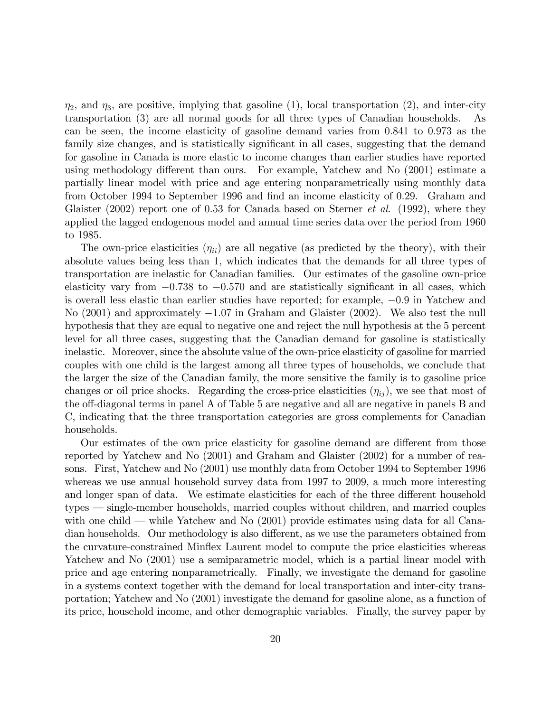$\eta_2$ , and  $\eta_3$ , are positive, implying that gasoline (1), local transportation (2), and inter-city transportation (3) are all normal goods for all three types of Canadian households. As can be seen, the income elasticity of gasoline demand varies from 0:841 to 0:973 as the family size changes, and is statistically significant in all cases, suggesting that the demand for gasoline in Canada is more elastic to income changes than earlier studies have reported using methodology different than ours. For example, Yatchew and No  $(2001)$  estimate a partially linear model with price and age entering nonparametrically using monthly data from October 1994 to September 1996 and find an income elasticity of 0.29. Graham and Glaister (2002) report one of 0.53 for Canada based on Sterner *et al.* (1992), where they applied the lagged endogenous model and annual time series data over the period from 1960 to 1985.

The own-price elasticities  $(\eta_{ii})$  are all negative (as predicted by the theory), with their absolute values being less than 1, which indicates that the demands for all three types of transportation are inelastic for Canadian families. Our estimates of the gasoline own-price elasticity vary from  $-0.738$  to  $-0.570$  and are statistically significant in all cases, which is overall less elastic than earlier studies have reported; for example,  $-0.9$  in Yatchew and No  $(2001)$  and approximately  $-1.07$  in Graham and Glaister  $(2002)$ . We also test the null hypothesis that they are equal to negative one and reject the null hypothesis at the 5 percent level for all three cases, suggesting that the Canadian demand for gasoline is statistically inelastic. Moreover, since the absolute value of the own-price elasticity of gasoline for married couples with one child is the largest among all three types of households, we conclude that the larger the size of the Canadian family, the more sensitive the family is to gasoline price changes or oil price shocks. Regarding the cross-price elasticities  $(\eta_{ii})$ , we see that most of the off-diagonal terms in panel A of Table 5 are negative and all are negative in panels B and C, indicating that the three transportation categories are gross complements for Canadian households.

Our estimates of the own price elasticity for gasoline demand are different from those reported by Yatchew and No (2001) and Graham and Glaister (2002) for a number of reasons. First, Yatchew and No (2001) use monthly data from October 1994 to September 1996 whereas we use annual household survey data from 1997 to 2009, a much more interesting and longer span of data. We estimate elasticities for each of the three different household types – single-member households, married couples without children, and married couples with one child  $\sim$  while Yatchew and No (2001) provide estimates using data for all Canadian households. Our methodology is also different, as we use the parameters obtained from the curvature-constrained Minflex Laurent model to compute the price elasticities whereas Yatchew and No  $(2001)$  use a semiparametric model, which is a partial linear model with price and age entering nonparametrically. Finally, we investigate the demand for gasoline in a systems context together with the demand for local transportation and inter-city transportation; Yatchew and No (2001) investigate the demand for gasoline alone, as a function of its price, household income, and other demographic variables. Finally, the survey paper by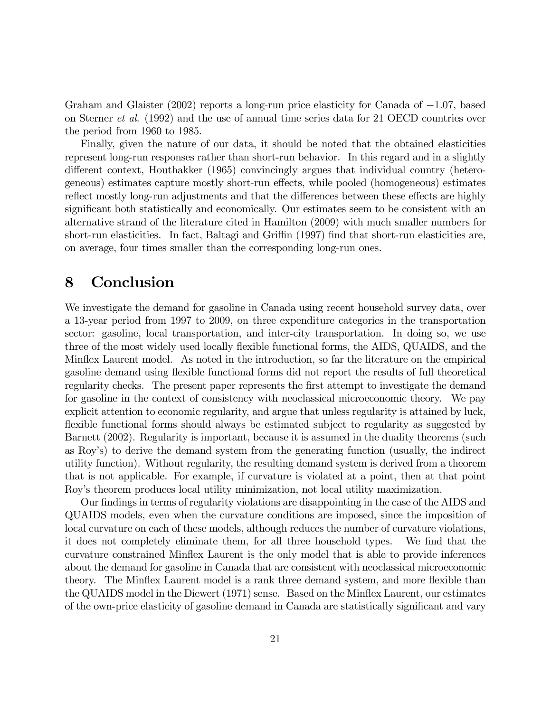Graham and Glaister  $(2002)$  reports a long-run price elasticity for Canada of  $-1.07$ , based on Sterner et al. (1992) and the use of annual time series data for 21 OECD countries over the period from 1960 to 1985.

Finally, given the nature of our data, it should be noted that the obtained elasticities represent long-run responses rather than short-run behavior. In this regard and in a slightly different context, Houthakker (1965) convincingly argues that individual country (heterogeneous) estimates capture mostly short-run effects, while pooled (homogeneous) estimates reflect mostly long-run adjustments and that the differences between these effects are highly significant both statistically and economically. Our estimates seem to be consistent with an alternative strand of the literature cited in Hamilton (2009) with much smaller numbers for short-run elasticities. In fact, Baltagi and Griffin (1997) find that short-run elasticities are, on average, four times smaller than the corresponding long-run ones.

# 8 Conclusion

We investigate the demand for gasoline in Canada using recent household survey data, over a 13-year period from 1997 to 2009, on three expenditure categories in the transportation sector: gasoline, local transportation, and inter-city transportation. In doing so, we use three of the most widely used locally flexible functional forms, the AIDS, QUAIDS, and the Mináex Laurent model. As noted in the introduction, so far the literature on the empirical gasoline demand using flexible functional forms did not report the results of full theoretical regularity checks. The present paper represents the first attempt to investigate the demand for gasoline in the context of consistency with neoclassical microeconomic theory. We pay explicit attention to economic regularity, and argue that unless regularity is attained by luck, flexible functional forms should always be estimated subject to regularity as suggested by Barnett (2002). Regularity is important, because it is assumed in the duality theorems (such as Royís) to derive the demand system from the generating function (usually, the indirect utility function). Without regularity, the resulting demand system is derived from a theorem that is not applicable. For example, if curvature is violated at a point, then at that point Royís theorem produces local utility minimization, not local utility maximization.

Our findings in terms of regularity violations are disappointing in the case of the AIDS and QUAIDS models, even when the curvature conditions are imposed, since the imposition of local curvature on each of these models, although reduces the number of curvature violations, it does not completely eliminate them, for all three household types. We find that the curvature constrained Mináex Laurent is the only model that is able to provide inferences about the demand for gasoline in Canada that are consistent with neoclassical microeconomic theory. The Minflex Laurent model is a rank three demand system, and more flexible than the QUAIDS model in the Diewert (1971) sense. Based on the Minflex Laurent, our estimates of the own-price elasticity of gasoline demand in Canada are statistically significant and vary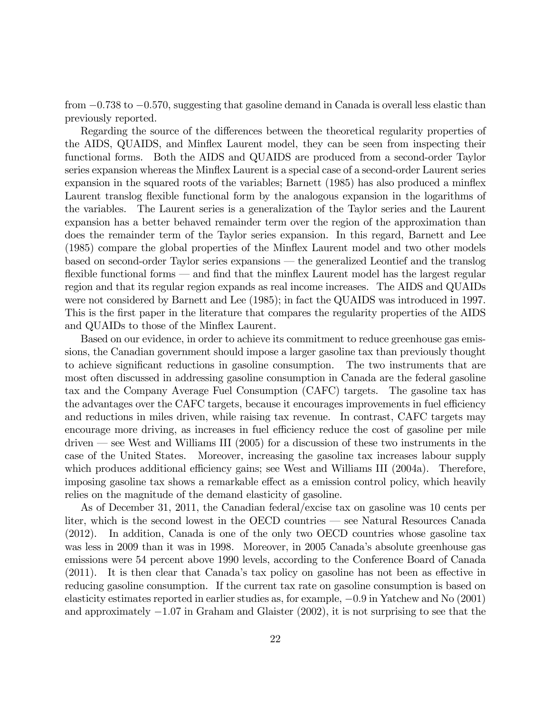from  $-0.738$  to  $-0.570$ , suggesting that gasoline demand in Canada is overall less elastic than previously reported.

Regarding the source of the differences between the theoretical regularity properties of the AIDS, QUAIDS, and Minflex Laurent model, they can be seen from inspecting their functional forms. Both the AIDS and QUAIDS are produced from a second-order Taylor series expansion whereas the Minflex Laurent is a special case of a second-order Laurent series expansion in the squared roots of the variables; Barnett (1985) has also produced a minflex Laurent translog flexible functional form by the analogous expansion in the logarithms of the variables. The Laurent series is a generalization of the Taylor series and the Laurent expansion has a better behaved remainder term over the region of the approximation than does the remainder term of the Taylor series expansion. In this regard, Barnett and Lee (1985) compare the global properties of the Minflex Laurent model and two other models based on second-order Taylor series expansions  $-$  the generalized Leontief and the translog flexible functional forms  $\sim$  and find that the minflex Laurent model has the largest regular region and that its regular region expands as real income increases. The AIDS and QUAIDs were not considered by Barnett and Lee (1985); in fact the QUAIDS was introduced in 1997. This is the first paper in the literature that compares the regularity properties of the AIDS and QUAIDs to those of the Minflex Laurent.

Based on our evidence, in order to achieve its commitment to reduce greenhouse gas emissions, the Canadian government should impose a larger gasoline tax than previously thought to achieve significant reductions in gasoline consumption. The two instruments that are most often discussed in addressing gasoline consumption in Canada are the federal gasoline tax and the Company Average Fuel Consumption (CAFC) targets. The gasoline tax has the advantages over the CAFC targets, because it encourages improvements in fuel efficiency and reductions in miles driven, while raising tax revenue. In contrast, CAFC targets may encourage more driving, as increases in fuel efficiency reduce the cost of gasoline per mile driven  $\sim$  see West and Williams III (2005) for a discussion of these two instruments in the case of the United States. Moreover, increasing the gasoline tax increases labour supply which produces additional efficiency gains; see West and Williams III  $(2004a)$ . Therefore, imposing gasoline tax shows a remarkable effect as a emission control policy, which heavily relies on the magnitude of the demand elasticity of gasoline.

As of December 31, 2011, the Canadian federal/excise tax on gasoline was 10 cents per liter, which is the second lowest in the OECD countries  $\sim$  see Natural Resources Canada (2012). In addition, Canada is one of the only two OECD countries whose gasoline tax was less in 2009 than it was in 1998. Moreover, in 2005 Canada's absolute greenhouse gas emissions were 54 percent above 1990 levels, according to the Conference Board of Canada  $(2011)$ . It is then clear that Canada's tax policy on gasoline has not been as effective in reducing gasoline consumption. If the current tax rate on gasoline consumption is based on elasticity estimates reported in earlier studies as, for example,  $-0.9$  in Yatchew and No  $(2001)$ and approximately  $-1.07$  in Graham and Glaister (2002), it is not surprising to see that the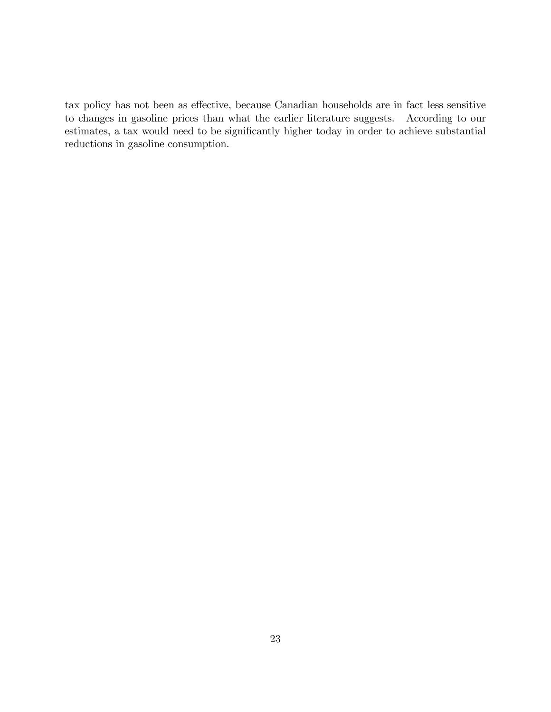tax policy has not been as effective, because Canadian households are in fact less sensitive to changes in gasoline prices than what the earlier literature suggests. According to our estimates, a tax would need to be significantly higher today in order to achieve substantial reductions in gasoline consumption.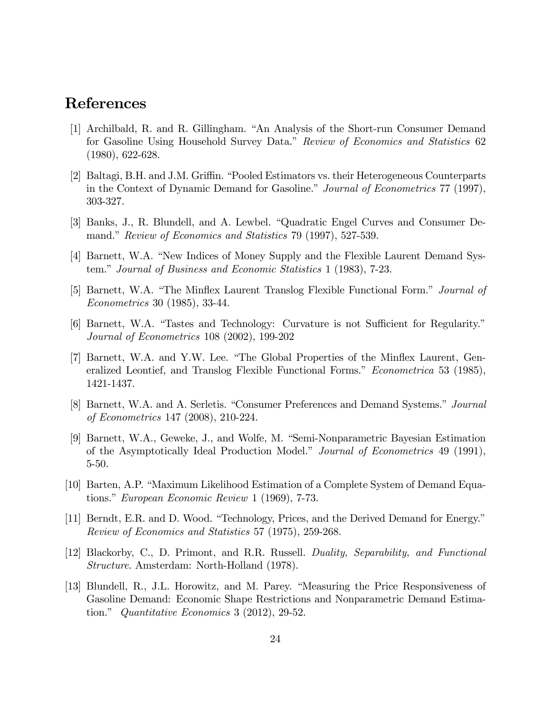# References

- [1] Archilbald, R. and R. Gillingham. "An Analysis of the Short-run Consumer Demand for Gasoline Using Household Survey Data." Review of Economics and Statistics 62 (1980), 622-628.
- [2] Baltagi, B.H. and J.M. Griffin. "Pooled Estimators vs. their Heterogeneous Counterparts in the Context of Dynamic Demand for Gasoline." Journal of Econometrics 77 (1997), 303-327.
- [3] Banks, J., R. Blundell, and A. Lewbel. "Quadratic Engel Curves and Consumer Demand." Review of Economics and Statistics 79 (1997), 527-539.
- [4] Barnett, W.A. "New Indices of Money Supply and the Flexible Laurent Demand System." Journal of Business and Economic Statistics 1 (1983), 7-23.
- [5] Barnett, W.A. "The Minflex Laurent Translog Flexible Functional Form." Journal of Econometrics 30 (1985), 33-44.
- [6] Barnett, W.A. "Tastes and Technology: Curvature is not Sufficient for Regularity." Journal of Econometrics 108 (2002), 199-202
- [7] Barnett, W.A. and Y.W. Lee. "The Global Properties of the Minflex Laurent, Generalized Leontief, and Translog Flexible Functional Forms." Econometrica 53 (1985), 1421-1437.
- [8] Barnett, W.A. and A. Serletis. "Consumer Preferences and Demand Systems." Journal of Econometrics 147 (2008), 210-224.
- [9] Barnett, W.A., Geweke, J., and Wolfe, M. "Semi-Nonparametric Bayesian Estimation of the Asymptotically Ideal Production Model.î Journal of Econometrics 49 (1991), 5-50.
- [10] Barten, A.P. "Maximum Likelihood Estimation of a Complete System of Demand Equations." European Economic Review 1 (1969),  $7-73$ .
- [11] Berndt, E.R. and D. Wood. "Technology, Prices, and the Derived Demand for Energy." Review of Economics and Statistics 57 (1975), 259-268.
- [12] Blackorby, C., D. Primont, and R.R. Russell. Duality, Separability, and Functional Structure. Amsterdam: North-Holland (1978).
- [13] Blundell, R., J.L. Horowitz, and M. Parey. "Measuring the Price Responsiveness of Gasoline Demand: Economic Shape Restrictions and Nonparametric Demand Estimation." Quantitative Economics 3 (2012), 29-52.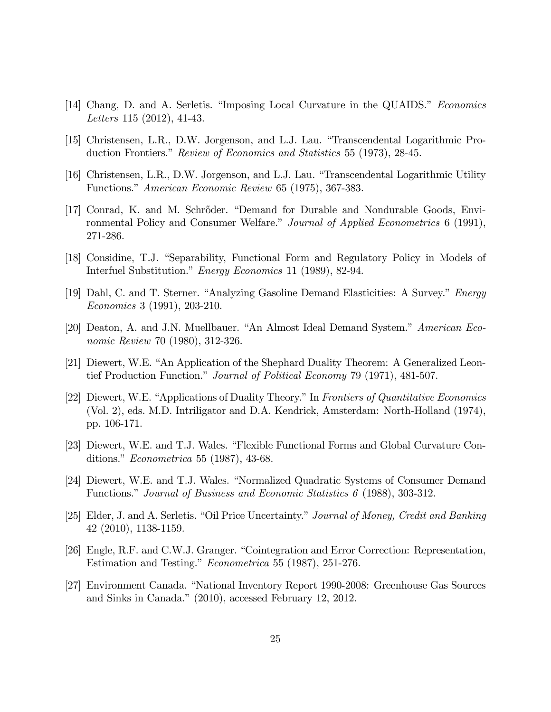- [14] Chang, D. and A. Serletis. "Imposing Local Curvature in the QUAIDS." Economics Letters 115 (2012), 41-43.
- [15] Christensen, L.R., D.W. Jorgenson, and L.J. Lau. "Transcendental Logarithmic Production Frontiers." Review of Economics and Statistics 55 (1973), 28-45.
- [16] Christensen, L.R., D.W. Jorgenson, and L.J. Lau. "Transcendental Logarithmic Utility Functions." American Economic Review 65 (1975), 367-383.
- [17] Conrad, K. and M. Schrőder. "Demand for Durable and Nondurable Goods, Environmental Policy and Consumer Welfare.<sup>3</sup> Journal of Applied Econometrics 6 (1991), 271-286.
- [18] Considine, T.J. "Separability, Functional Form and Regulatory Policy in Models of Interfuel Substitution." Energy Economics 11 (1989), 82-94.
- [19] Dahl, C. and T. Sterner. "Analyzing Gasoline Demand Elasticities: A Survey." Energy Economics 3 (1991), 203-210.
- [20] Deaton, A. and J.N. Muellbauer. "An Almost Ideal Demand System." American Economic Review 70 (1980), 312-326.
- [21] Diewert, W.E. "An Application of the Shephard Duality Theorem: A Generalized Leontief Production Function." Journal of Political Economy 79 (1971), 481-507.
- [22] Diewert, W.E. "Applications of Duality Theory." In Frontiers of Quantitative Economics (Vol. 2), eds. M.D. Intriligator and D.A. Kendrick, Amsterdam: North-Holland (1974), pp. 106-171.
- [23] Diewert, W.E. and T.J. Wales. "Flexible Functional Forms and Global Curvature Conditions."  $Econometrica 55 (1987), 43-68.$
- [24] Diewert, W.E. and T.J. Wales. "Normalized Quadratic Systems of Consumer Demand Functions." Journal of Business and Economic Statistics  $6$  (1988), 303-312.
- [25] Elder, J. and A. Serletis. "Oil Price Uncertainty." Journal of Money, Credit and Banking 42 (2010), 1138-1159.
- [26] Engle, R.F. and C.W.J. Granger. "Cointegration and Error Correction: Representation, Estimation and Testing." Econometrica 55 (1987), 251-276.
- [27] Environment Canada. "National Inventory Report 1990-2008: Greenhouse Gas Sources and Sinks in Canada." (2010), accessed February 12, 2012.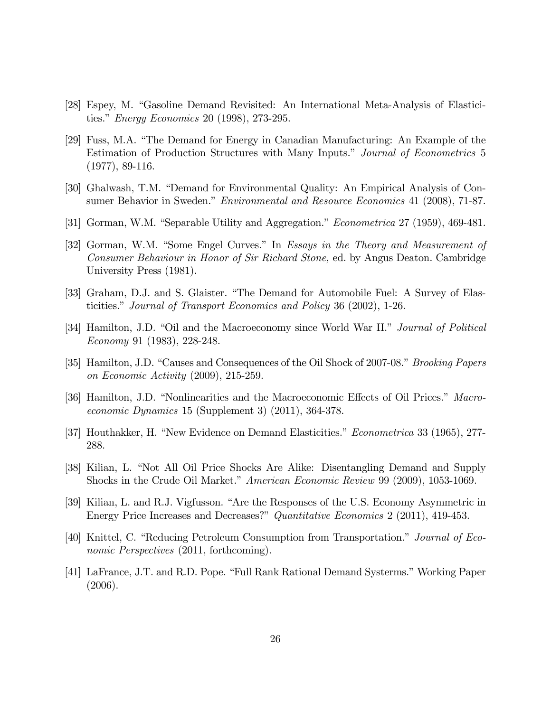- [28] Espey, M. "Gasoline Demand Revisited: An International Meta-Analysis of Elasticities." *Energy Economics* 20 (1998), 273-295.
- [29] Fuss, M.A. "The Demand for Energy in Canadian Manufacturing: An Example of the Estimation of Production Structures with Many Inputs." Journal of Econometrics 5 (1977), 89-116.
- [30] Ghalwash, T.M. "Demand for Environmental Quality: An Empirical Analysis of Consumer Behavior in Sweden." *Environmental and Resource Economics* 41 (2008), 71-87.
- [31] Gorman, W.M. "Separable Utility and Aggregation." *Econometrica* 27 (1959), 469-481.
- [32] Gorman, W.M. "Some Engel Curves." In Essays in the Theory and Measurement of Consumer Behaviour in Honor of Sir Richard Stone, ed. by Angus Deaton. Cambridge University Press (1981).
- [33] Graham, D.J. and S. Glaister. "The Demand for Automobile Fuel: A Survey of Elasticities." Journal of Transport Economics and Policy 36 (2002), 1-26.
- [34] Hamilton, J.D. "Oil and the Macroeconomy since World War II." *Journal of Political* Economy 91 (1983), 228-248.
- [35] Hamilton, J.D. "Causes and Consequences of the Oil Shock of 2007-08." *Brooking Papers* on Economic Activity (2009), 215-259.
- [36] Hamilton, J.D. "Nonlinearities and the Macroeconomic Effects of Oil Prices." Macroeconomic Dynamics 15 (Supplement 3) (2011), 364-378.
- [37] Houthakker, H. "New Evidence on Demand Elasticities." *Econometrica* 33 (1965), 277-288.
- [38] Kilian, L. "Not All Oil Price Shocks Are Alike: Disentangling Demand and Supply Shocks in the Crude Oil Market." American Economic Review 99 (2009), 1053-1069.
- [39] Kilian, L. and R.J. Vigfusson. "Are the Responses of the U.S. Economy Asymmetric in Energy Price Increases and Decreases?" Quantitative Economics 2 (2011), 419-453.
- [40] Knittel, C. "Reducing Petroleum Consumption from Transportation." Journal of Economic Perspectives (2011, forthcoming).
- [41] LaFrance, J.T. and R.D. Pope. "Full Rank Rational Demand Systerms." Working Paper (2006).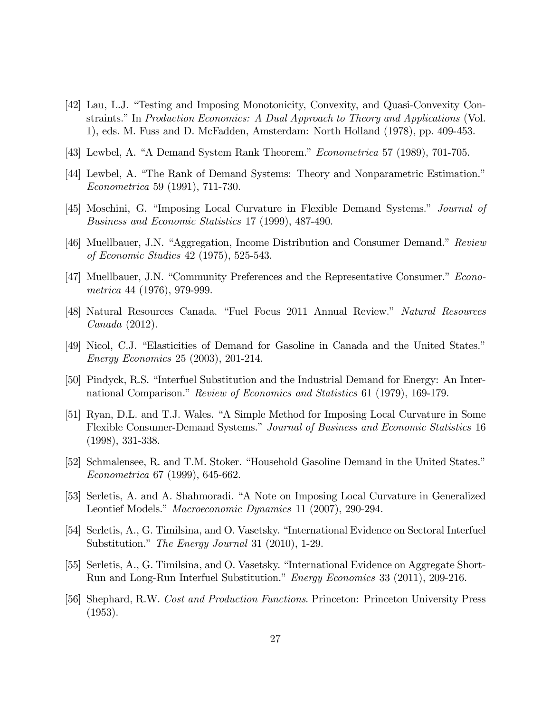- [42] Lau, L.J. "Testing and Imposing Monotonicity, Convexity, and Quasi-Convexity Constraints." In Production Economics: A Dual Approach to Theory and Applications (Vol. 1), eds. M. Fuss and D. McFadden, Amsterdam: North Holland (1978), pp. 409-453.
- [43] Lewbel, A. "A Demand System Rank Theorem."  $Econometrica$  57 (1989), 701-705.
- [44] Lewbel, A. "The Rank of Demand Systems: Theory and Nonparametric Estimation." Econometrica 59 (1991), 711-730.
- [45] Moschini, G. "Imposing Local Curvature in Flexible Demand Systems." *Journal of* Business and Economic Statistics 17 (1999), 487-490.
- [46] Muellbauer, J.N. "Aggregation, Income Distribution and Consumer Demand." Review of Economic Studies 42 (1975), 525-543.
- [47] Muellbauer, J.N. "Community Preferences and the Representative Consumer." Econometrica 44 (1976), 979-999.
- [48] Natural Resources Canada. "Fuel Focus 2011 Annual Review." Natural Resources Canada (2012).
- [49] Nicol, C.J. "Elasticities of Demand for Gasoline in Canada and the United States." Energy Economics 25 (2003), 201-214.
- [50] Pindyck, R.S. "Interfuel Substitution and the Industrial Demand for Energy: An International Comparison." Review of Economics and Statistics 61 (1979), 169-179.
- [51] Ryan, D.L. and T.J. Wales. "A Simple Method for Imposing Local Curvature in Some Flexible Consumer-Demand Systems." Journal of Business and Economic Statistics 16 (1998), 331-338.
- [52] Schmalensee, R. and T.M. Stoker. "Household Gasoline Demand in the United States." Econometrica 67 (1999), 645-662.
- [53] Serletis, A. and A. Shahmoradi. "A Note on Imposing Local Curvature in Generalized Leontief Models." Macroeconomic Dynamics 11 (2007), 290-294.
- [54] Serletis, A., G. Timilsina, and O. Vasetsky. "International Evidence on Sectoral Interfuel Substitution." The Energy Journal 31 (2010), 1-29.
- [55] Serletis, A., G. Timilsina, and O. Vasetsky. "International Evidence on Aggregate Short-Run and Long-Run Interfuel Substitution." Energy Economics 33 (2011), 209-216.
- [56] Shephard, R.W. Cost and Production Functions. Princeton: Princeton University Press (1953).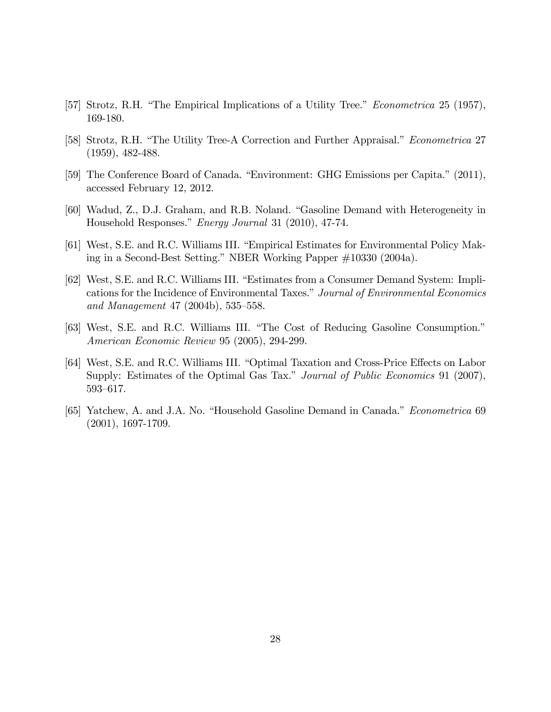- [57] Strotz, R.H. "The Empirical Implications of a Utility Tree." *Econometrica* 25 (1957), 169-180.
- [58] Strotz, R.H. "The Utility Tree-A Correction and Further Appraisal." *Econometrica* 27 (1959), 482-488.
- [59] The Conference Board of Canada. "Environment: GHG Emissions per Capita." (2011), accessed February 12, 2012.
- [60] Wadud, Z., D.J. Graham, and R.B. Noland. "Gasoline Demand with Heterogeneity in Household Responses." Energy Journal 31 (2010), 47-74.
- [61] West, S.E. and R.C. Williams III. "Empirical Estimates for Environmental Policy Making in a Second-Best Setting." NBER Working Papper  $\#10330$  (2004a).
- [62] West, S.E. and R.C. Williams III. "Estimates from a Consumer Demand System: Implications for the Incidence of Environmental Taxes." Journal of Environmental Economics and Management 47 (2004b),  $535-558$ .
- [63] West, S.E. and R.C. Williams III. "The Cost of Reducing Gasoline Consumption." American Economic Review 95 (2005), 294-299.
- [64] West, S.E. and R.C. Williams III. "Optimal Taxation and Cross-Price Effects on Labor Supply: Estimates of the Optimal Gas Tax." Journal of Public Economics 91 (2007), 593–617.
- [65] Yatchew, A. and J.A. No. "Household Gasoline Demand in Canada." *Econometrica* 69 (2001), 1697-1709.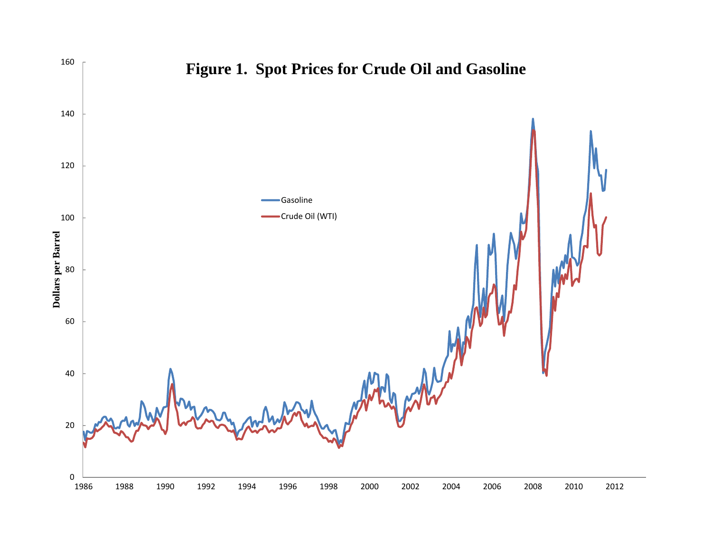

# **Figure 1. Spot Prices for Crude Oil and Gasoline**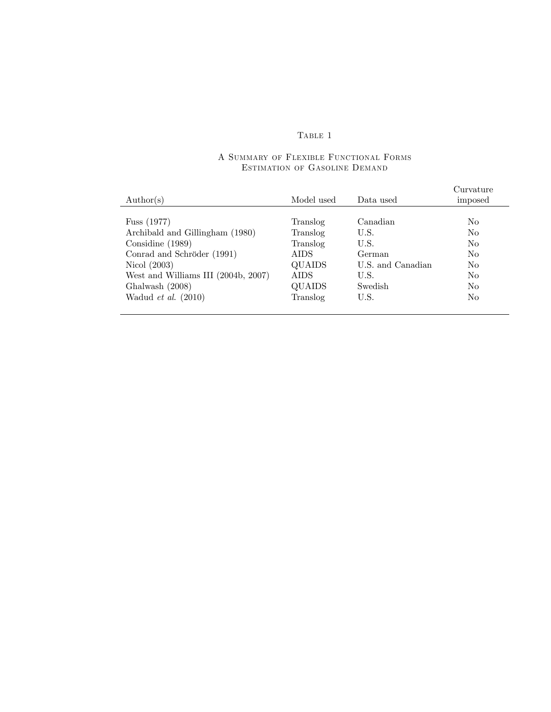### Table 1

### A Summary of Flexible Functional Forms Estimation of Gasoline Demand

|                                     |             |                   | Curvature      |
|-------------------------------------|-------------|-------------------|----------------|
| $\text{Author}(s)$                  | Model used  | Data used         | imposed        |
|                                     |             |                   |                |
| Fuss $(1977)$                       | Translog    | Canadian          | N <sub>0</sub> |
| Archibald and Gillingham (1980)     | Translog    | U.S.              | N <sub>o</sub> |
| Considine $(1989)$                  | Translog    | U.S.              | No.            |
| Conrad and Schröder (1991)          | AIDS        | German            | N <sub>o</sub> |
| Nicol $(2003)$                      | QUAIDS      | U.S. and Canadian | N <sub>0</sub> |
| West and Williams III (2004b, 2007) | <b>AIDS</b> | U.S.              | N <sub>0</sub> |
| Ghalwash (2008)                     | QUAIDS      | Swedish           | N <sub>o</sub> |
| Wadud et al. $(2010)$               | Translog    | U.S.              | N <sub>0</sub> |
|                                     |             |                   |                |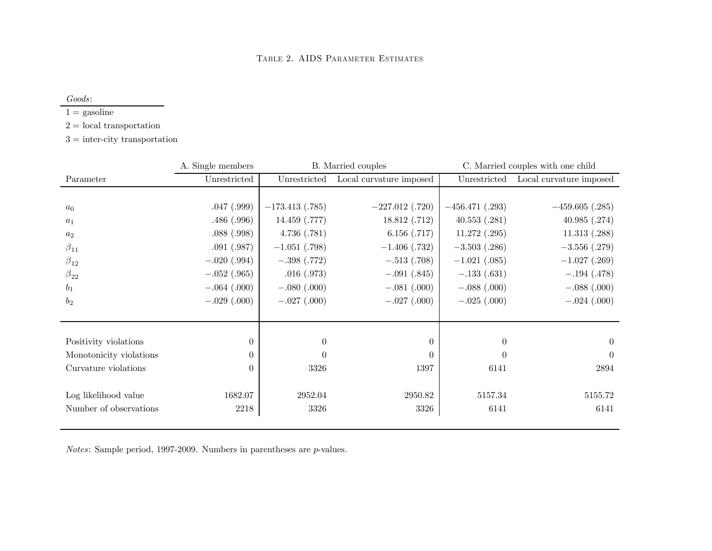Goods:

 $1 =$  gasoline

2 <sup>=</sup> local transportation

3 <sup>=</sup> inter-city transportation

|                         | A. Single members | B. Married couples |                         | C. Married couples with one child |                         |
|-------------------------|-------------------|--------------------|-------------------------|-----------------------------------|-------------------------|
| Parameter               | Unrestricted      | Unrestricted       | Local curvature imposed | Unrestricted                      | Local curvature imposed |
|                         |                   |                    |                         |                                   |                         |
| $a_0$                   | .047(.999)        | $-173.413(0.785)$  | $-227.012$ (.720)       | $-456.471(.293)$                  | $-459.605$ (.285)       |
| $a_1$                   | .486(.996)        | 14.459 (.777)      | 18.812(.712)            | 40.553(.281)                      | 40.985(.274)            |
| $a_2$                   | .088(.998)        | 4.736(.781)        | 6.156(.717)             | $11.272$ $(.295)$                 | 11.313(.288)            |
| $\beta_{11}$            | .091(.987)        | $-1.051$ (.798)    | $-1.406$ (.732)         | $-3.503$ (.286)                   | $-3.556(.279)$          |
| $\beta_{12}$            | $-.020(.994)$     | $-.398(.772)$      | $-.513(.708)$           | $-1.021$ (.085)                   | $-1.027$ (.269)         |
| $\beta_{22}$            | $-.052(.965)$     | .016(.973)         | $-.091(.845)$           | $-.133(.631)$                     | $-.194(.478)$           |
| $b_1$                   | $-.064(.000)$     | $-.080(.000)$      | $-.081(.000)$           | $-.088(.000)$                     | $-.088(.000)$           |
| $b_2$                   | $-.029(.000)$     | $-.027(.000)$      | $-.027(.000)$           | $-.025(.000)$                     | $-.024(.000)$           |
|                         |                   |                    |                         |                                   |                         |
|                         |                   |                    |                         |                                   |                         |
| Positivity violations   | $\theta$          | $\theta$           | $\Omega$                | $\overline{0}$                    | $\overline{0}$          |
| Monotonicity violations | 0                 | $\Omega$           | 0                       | $\theta$                          | $\theta$                |
| Curvature violations    | 0                 | 3326               | 1397                    | 6141                              | 2894                    |
|                         |                   |                    |                         |                                   |                         |
| Log likelihood value    | 1682.07           | 2952.04            | 2950.82                 | 5157.34                           | 5155.72                 |
| Number of observations  | 2218              | 3326               | 3326                    | 6141                              | 6141                    |

 $Notes: Sample period, 1997-2009. Numbers in parentheses are p-values.$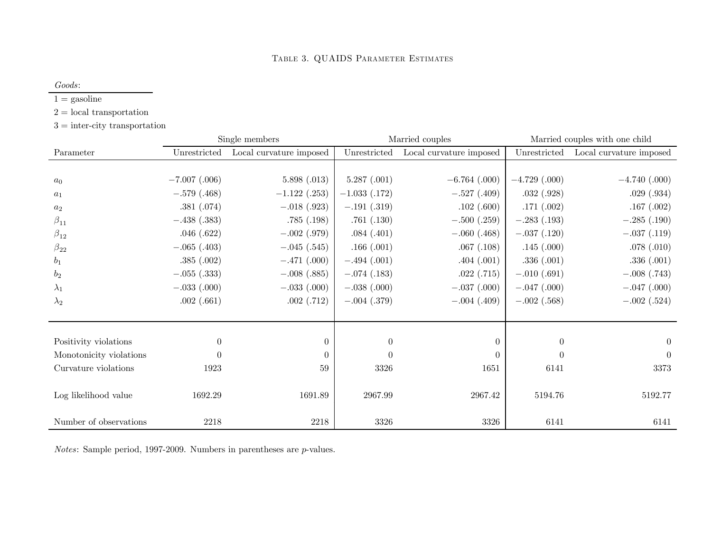Goods:

 $1 =$  gasoline

2 <sup>=</sup> local transportation

3 <sup>=</sup> inter-city transportation

|                         | Single members  |                         | Married couples |                         | Married couples with one child |                         |
|-------------------------|-----------------|-------------------------|-----------------|-------------------------|--------------------------------|-------------------------|
| Parameter               | Unrestricted    | Local curvature imposed | Unrestricted    | Local curvature imposed | Unrestricted                   | Local curvature imposed |
|                         |                 |                         |                 |                         |                                |                         |
| a <sub>0</sub>          | $-7.007$ (.006) | 5.898(.013)             | 5.287(.001)     | $-6.764$ (.000)         | $-4.729$ (.000)                | $-4.740$ (.000)         |
| $a_1$                   | $-.579(.468)$   | $-1.122$ (.253)         | $-1.033$ (.172) | $-.527(.409)$           | .032(.928)                     | .029(.934)              |
| $a_2$                   | .381(.074)      | $-.018(.923)$           | $-.191(.319)$   | .102(.600)              | .171(.002)                     | .167(.002)              |
| $\beta_{11}$            | $-.438(.383)$   | .785(.198)              | .761(.130)      | $-.500(.259)$           | $-.283(.193)$                  | $-.285(.190)$           |
| $\beta_{12}$            | .046(.622)      | $-.002(.979)$           | .084(.401)      | $-.060(.468)$           | $-.037(.120)$                  | $-.037(.119)$           |
| $\beta_{22}$            | $-.065(.403)$   | $-.045(.545)$           | .166(.001)      | .067(.108)              | .145(.000)                     | .078(.010)              |
| $b_1$                   | .385(.002)      | $-.471(.000)$           | $-.494(.001)$   | .404(.001)              | .336(.001)                     | .336(.001)              |
| $b_2$                   | $-.055(.333)$   | $-.008(.885)$           | $-.074(.183)$   | .022(.715)              | $-.010(.691)$                  | $-.008(.743)$           |
| $\lambda_1$             | $-.033(.000)$   | $-.033(.000)$           | $-.038(.000)$   | $-.037(.000)$           | $-.047(.000)$                  | $-.047(.000)$           |
| $\lambda_2$             | .002(.661)      | .002(.712)              | $-.004(.379)$   | $-.004(.409)$           | $-.002(.568)$                  | $-.002(.524)$           |
|                         |                 |                         |                 |                         |                                |                         |
|                         |                 |                         |                 |                         |                                |                         |
| Positivity violations   | $\overline{0}$  | $\theta$                | $\theta$        | $\Omega$                | $\theta$                       | $\Omega$                |
| Monotonicity violations | $\overline{0}$  | $\Omega$                | $\theta$        | $\Omega$                | $\theta$                       | $\theta$                |
| Curvature violations    | 1923            | 59                      | 3326            | 1651                    | 6141                           | 3373                    |
|                         |                 |                         |                 |                         |                                |                         |
| Log likelihood value    | 1692.29         | 1691.89                 | 2967.99         | 2967.42                 | 5194.76                        | 5192.77                 |
|                         |                 |                         |                 |                         |                                |                         |
| Number of observations  | 2218            | 2218                    | 3326            | 3326                    | 6141                           | 6141                    |

 $Notes: Sample period, 1997-2009. Numbers in parentheses are p-values.$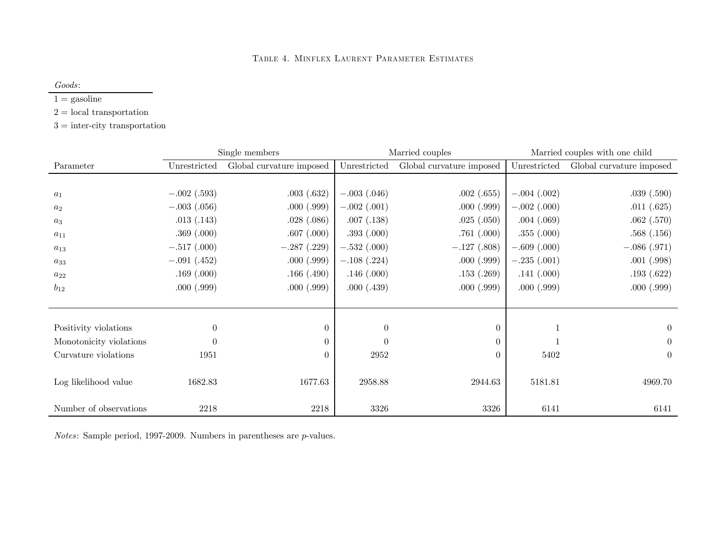#### Table 4. Minflex Laurent Parameter Estimates

Goods:

 $1 =$  gasoline

2 <sup>=</sup> local transportation

3 <sup>=</sup> inter-city transportation

|                         |                | Married couples<br>Single members |                | Married couples with one child |               |                          |
|-------------------------|----------------|-----------------------------------|----------------|--------------------------------|---------------|--------------------------|
| Parameter               | Unrestricted   | Global curvature imposed          | Unrestricted   | Global curvature imposed       | Unrestricted  | Global curvature imposed |
|                         |                |                                   |                |                                |               |                          |
| $a_1$                   | $-.002(.593)$  | .003(.632)                        | $-.003(.046)$  | .002(.655)                     | $-.004(.002)$ | .039(.590)               |
| $a_2$                   | $-.003(.056)$  | .000(.999)                        | $-.002(.001)$  | .000(.999)                     | $-.002(.000)$ | .011(.625)               |
| $a_3$                   | .013( .143)    | .028(.086)                        | .007(0.138)    | .025(.050)                     | .004(.069)    | .062(.570)               |
| $a_{11}$                | .369(.000)     | .607(.000)                        | .393(.000)     | .761(.000)                     | .355(.000)    | .568(.156)               |
| $a_{13}$                | $-.517(.000)$  | $-.287(.229)$                     | $-.532(.000)$  | $-.127(.808)$                  | $-.609(.000)$ | $-.086(.971)$            |
| $a_{33}$                | $-.091(.452)$  | .000(.999)                        | $-.108(.224)$  | .000(.999)                     | $-.235(.001)$ | .001(.998)               |
| $a_{22}$                | .169(.000)     | .166(.490)                        | .146(.000)     | .153(.269)                     | .141(.000)    | .193(.622)               |
| $b_{12}$                | .000(.999)     | .000(.999)                        | .000(.439)     | .000(.999)                     | .000(.999)    | .000(.999)               |
|                         |                |                                   |                |                                |               |                          |
|                         |                |                                   |                |                                |               |                          |
| Positivity violations   | $\overline{0}$ | $\overline{0}$                    | $\overline{0}$ | $\theta$                       | 1             | $\overline{0}$           |
| Monotonicity violations | $\overline{0}$ | $\theta$                          | $\overline{0}$ | $\Omega$                       |               | $\overline{0}$           |
| Curvature violations    | 1951           | 0                                 | 2952           | 0                              | 5402          | $\overline{0}$           |
|                         |                |                                   |                |                                |               |                          |
| Log likelihood value    | 1682.83        | 1677.63                           | 2958.88        | 2944.63                        | 5181.81       | 4969.70                  |
|                         |                |                                   |                |                                |               |                          |
| Number of observations  | 2218           | 2218                              | 3326           | 3326                           | 6141          | 6141                     |

 $Notes: Sample period, 1997-2009. Numbers in parentheses are p-values.$